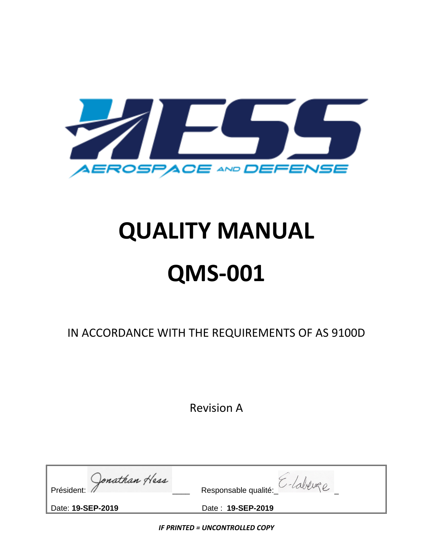

# **QUALITY MANUAL QMS-001**

IN ACCORDANCE WITH THE REQUIREMENTS OF AS 9100D

Revision A

| Jonathan Hess<br>Président: | Responsable qualité: |
|-----------------------------|----------------------|
| Date: 19-SEP-2019           | Date: 19-SEP-2019    |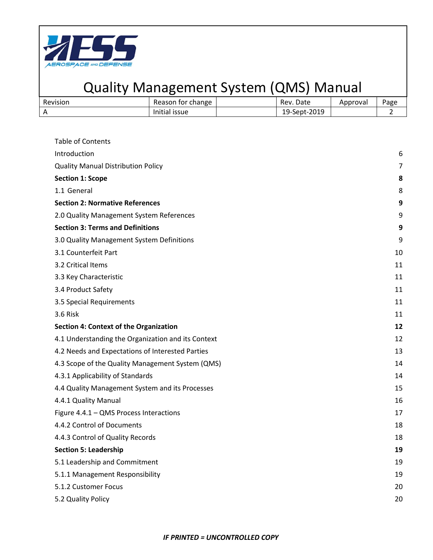

| Revision | <sup>-</sup> change<br>Reason for | Rev. Date    | Approval | Page |
|----------|-----------------------------------|--------------|----------|------|
|          | .<br>Initial issue                | 19-Sept-2019 |          |      |

| Table of Contents                                  |                |
|----------------------------------------------------|----------------|
| Introduction                                       | 6              |
| <b>Quality Manual Distribution Policy</b>          | $\overline{7}$ |
| <b>Section 1: Scope</b>                            | 8              |
| 1.1 General                                        | 8              |
| <b>Section 2: Normative References</b>             | 9              |
| 2.0 Quality Management System References           | 9              |
| <b>Section 3: Terms and Definitions</b>            | 9              |
| 3.0 Quality Management System Definitions          | 9              |
| 3.1 Counterfeit Part                               | 10             |
| 3.2 Critical Items                                 | 11             |
| 3.3 Key Characteristic                             | 11             |
| 3.4 Product Safety                                 | 11             |
| 3.5 Special Requirements                           | 11             |
| 3.6 Risk                                           | 11             |
| <b>Section 4: Context of the Organization</b>      | 12             |
| 4.1 Understanding the Organization and its Context | 12             |
| 4.2 Needs and Expectations of Interested Parties   | 13             |
| 4.3 Scope of the Quality Management System (QMS)   | 14             |
| 4.3.1 Applicability of Standards                   | 14             |
| 4.4 Quality Management System and its Processes    | 15             |
| 4.4.1 Quality Manual                               | 16             |
| Figure 4.4.1 - QMS Process Interactions            | 17             |
| 4.4.2 Control of Documents                         | 18             |
| 4.4.3 Control of Quality Records                   | 18             |
| <b>Section 5: Leadership</b>                       | 19             |
| 5.1 Leadership and Commitment                      | 19             |
| 5.1.1 Management Responsibility                    | 19             |
| 5.1.2 Customer Focus                               | 20             |
| 5.2 Quality Policy                                 | 20             |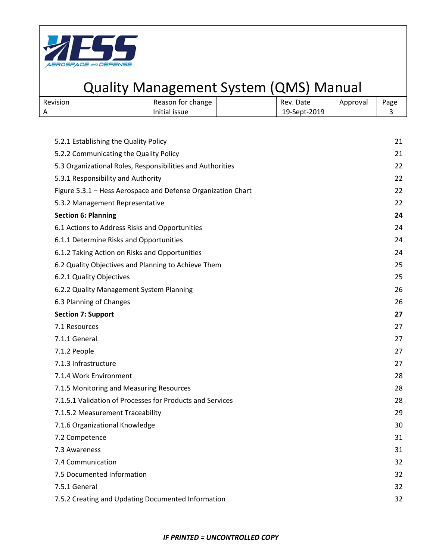

| Revision | Reason for change | Rev. Date    | Approval | <sup>o</sup> age |
|----------|-------------------|--------------|----------|------------------|
|          | Initial issue     | 19-Sept-2019 |          |                  |

| 5.2.1 Establishing the Quality Policy                        | 21 |
|--------------------------------------------------------------|----|
| 5.2.2 Communicating the Quality Policy                       | 21 |
| 5.3 Organizational Roles, Responsibilities and Authorities   | 22 |
| 5.3.1 Responsibility and Authority                           | 22 |
| Figure 5.3.1 - Hess Aerospace and Defense Organization Chart | 22 |
| 5.3.2 Management Representative                              | 22 |
| <b>Section 6: Planning</b>                                   | 24 |
| 6.1 Actions to Address Risks and Opportunities               | 24 |
| 6.1.1 Determine Risks and Opportunities                      | 24 |
| 6.1.2 Taking Action on Risks and Opportunities               | 24 |
| 6.2 Quality Objectives and Planning to Achieve Them          | 25 |
| 6.2.1 Quality Objectives                                     | 25 |
| 6.2.2 Quality Management System Planning                     | 26 |
| 6.3 Planning of Changes                                      | 26 |
| <b>Section 7: Support</b>                                    | 27 |
| 7.1 Resources                                                | 27 |
| 7.1.1 General                                                | 27 |
| 7.1.2 People                                                 | 27 |
| 7.1.3 Infrastructure                                         | 27 |
| 7.1.4 Work Environment                                       | 28 |
| 7.1.5 Monitoring and Measuring Resources                     | 28 |
| 7.1.5.1 Validation of Processes for Products and Services    | 28 |
| 7.1.5.2 Measurement Traceability                             | 29 |
| 7.1.6 Organizational Knowledge                               | 30 |
| 7.2 Competence                                               | 31 |
| 7.3 Awareness                                                | 31 |
| 7.4 Communication                                            | 32 |
| 7.5 Documented Information                                   | 32 |
| 7.5.1 General                                                | 32 |
| 7.5.2 Creating and Updating Documented Information           | 32 |
|                                                              |    |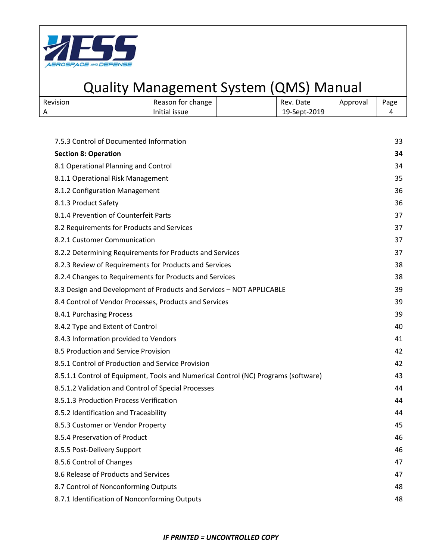

| Revision | Reason for change  | Rev. Date          | Approval | <sup>o</sup> age |
|----------|--------------------|--------------------|----------|------------------|
|          | .<br>Initial issue | -Sept-2019<br>19-: |          |                  |

| 7.5.3 Control of Documented Information                                            | 33 |
|------------------------------------------------------------------------------------|----|
| <b>Section 8: Operation</b>                                                        | 34 |
| 8.1 Operational Planning and Control                                               | 34 |
| 8.1.1 Operational Risk Management                                                  | 35 |
| 8.1.2 Configuration Management                                                     | 36 |
| 8.1.3 Product Safety                                                               | 36 |
| 8.1.4 Prevention of Counterfeit Parts                                              | 37 |
| 8.2 Requirements for Products and Services                                         | 37 |
| 8.2.1 Customer Communication                                                       | 37 |
| 8.2.2 Determining Requirements for Products and Services                           | 37 |
| 8.2.3 Review of Requirements for Products and Services                             | 38 |
| 8.2.4 Changes to Requirements for Products and Services                            | 38 |
| 8.3 Design and Development of Products and Services - NOT APPLICABLE               | 39 |
| 8.4 Control of Vendor Processes, Products and Services                             | 39 |
| 8.4.1 Purchasing Process                                                           | 39 |
| 8.4.2 Type and Extent of Control                                                   | 40 |
| 8.4.3 Information provided to Vendors                                              | 41 |
| 8.5 Production and Service Provision                                               | 42 |
| 8.5.1 Control of Production and Service Provision                                  | 42 |
| 8.5.1.1 Control of Equipment, Tools and Numerical Control (NC) Programs (software) | 43 |
| 8.5.1.2 Validation and Control of Special Processes                                | 44 |
| 8.5.1.3 Production Process Verification                                            | 44 |
| 8.5.2 Identification and Traceability                                              | 44 |
| 8.5.3 Customer or Vendor Property                                                  | 45 |
| 8.5.4 Preservation of Product                                                      | 46 |
| 8.5.5 Post-Delivery Support                                                        | 46 |
| 8.5.6 Control of Changes                                                           | 47 |
| 8.6 Release of Products and Services                                               | 47 |
| 8.7 Control of Nonconforming Outputs                                               | 48 |
| 8.7.1 Identification of Nonconforming Outputs                                      | 48 |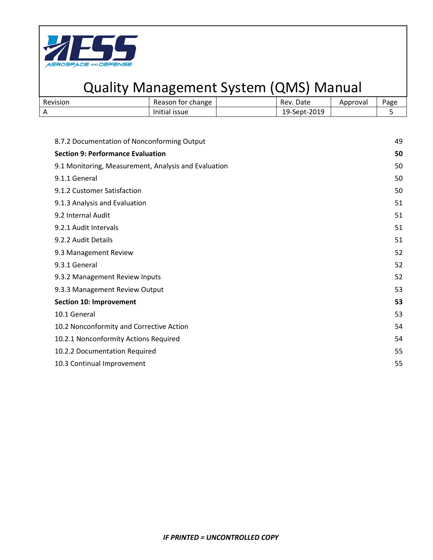

| Revision | change <sup>.</sup><br>Reason for | Rev. Date    | Approval | <sup>o</sup> age |
|----------|-----------------------------------|--------------|----------|------------------|
|          | Initial issue                     | 19-Sept-2019 |          |                  |

| 8.7.2 Documentation of Nonconforming Output          | 49 |
|------------------------------------------------------|----|
| <b>Section 9: Performance Evaluation</b>             | 50 |
| 9.1 Monitoring, Measurement, Analysis and Evaluation | 50 |
| 9.1.1 General                                        | 50 |
| 9.1.2 Customer Satisfaction                          | 50 |
| 9.1.3 Analysis and Evaluation                        | 51 |
| 9.2 Internal Audit                                   | 51 |
| 9.2.1 Audit Intervals                                | 51 |
| 9.2.2 Audit Details                                  | 51 |
| 9.3 Management Review                                | 52 |
| 9.3.1 General                                        | 52 |
| 9.3.2 Management Review Inputs                       | 52 |
| 9.3.3 Management Review Output                       | 53 |
| <b>Section 10: Improvement</b>                       | 53 |
| 10.1 General                                         | 53 |
| 10.2 Nonconformity and Corrective Action             | 54 |
| 10.2.1 Nonconformity Actions Required                | 54 |
| 10.2.2 Documentation Required                        | 55 |
| 10.3 Continual Improvement                           | 55 |
|                                                      |    |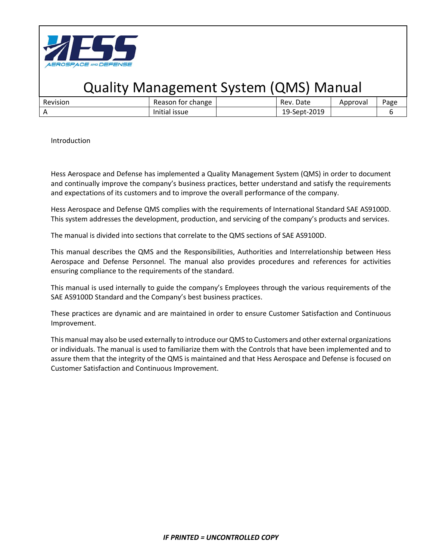

| Revision | tor change<br>Reason    | Date<br>Rev. | Approval | Page |
|----------|-------------------------|--------------|----------|------|
|          | Initial<br><b>ISSUE</b> | 19-Sept-2019 |          |      |

Introduction

Hess Aerospace and Defense has implemented a Quality Management System (QMS) in order to document and continually improve the company's business practices, better understand and satisfy the requirements and expectations of its customers and to improve the overall performance of the company.

Hess Aerospace and Defense QMS complies with the requirements of International Standard SAE AS9100D. This system addresses the development, production, and servicing of the company's products and services.

The manual is divided into sections that correlate to the QMS sections of SAE AS9100D.

This manual describes the QMS and the Responsibilities, Authorities and Interrelationship between Hess Aerospace and Defense Personnel. The manual also provides procedures and references for activities ensuring compliance to the requirements of the standard.

This manual is used internally to guide the company's Employees through the various requirements of the SAE AS9100D Standard and the Company's best business practices.

These practices are dynamic and are maintained in order to ensure Customer Satisfaction and Continuous Improvement.

This manual may also be used externally to introduce our QMS to Customers and other external organizations or individuals. The manual is used to familiarize them with the Controls that have been implemented and to assure them that the integrity of the QMS is maintained and that Hess Aerospace and Defense is focused on Customer Satisfaction and Continuous Improvement.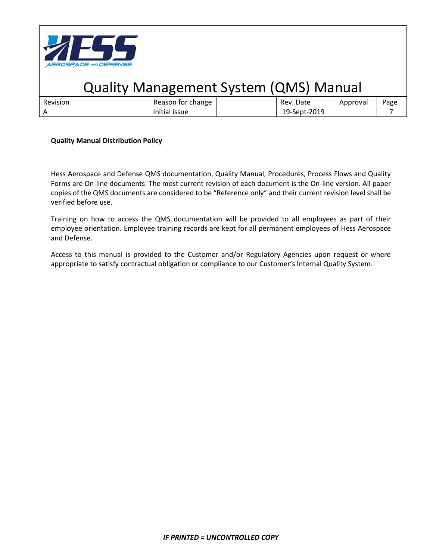

| Revisior. | change<br>ror                  | Date<br>Rev.                  | proval | Page |
|-----------|--------------------------------|-------------------------------|--------|------|
|           | $\cdots$<br>issue<br>.<br>tidi | $-2019$<br>$19 - c$<br>sept-1 |        |      |

#### **Quality Manual Distribution Policy**

Hess Aerospace and Defense QMS documentation, Quality Manual, Procedures, Process Flows and Quality Forms are On-line documents. The most current revision of each document is the On-line version. All paper copies of the QMS documents are considered to be "Reference only" and their current revision level shall be verified before use.

Training on how to access the QMS documentation will be provided to all employees as part of their employee orientation. Employee training records are kept for all permanent employees of Hess Aerospace and Defense.

Access to this manual is provided to the Customer and/or Regulatory Agencies upon request or where appropriate to satisfy contractual obligation or compliance to our Customer's Internal Quality System.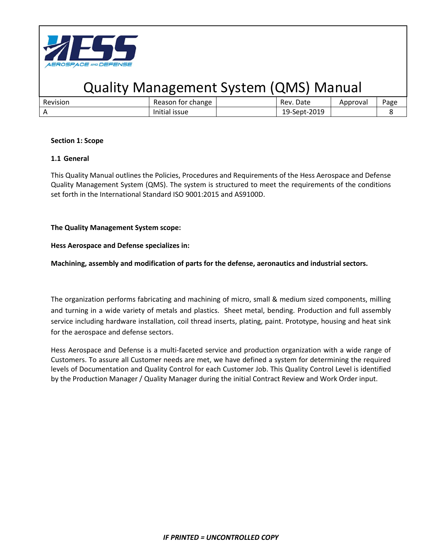

| Revision | Reason for change | Date<br>Rev. | Approval | Page |
|----------|-------------------|--------------|----------|------|
|          | Initial issue     | 19-Sept-2019 |          |      |

#### **Section 1: Scope**

#### **1.1 General**

This Quality Manual outlines the Policies, Procedures and Requirements of the Hess Aerospace and Defense Quality Management System (QMS). The system is structured to meet the requirements of the conditions set forth in the International Standard ISO 9001:2015 and AS9100D.

### **The Quality Management System scope:**

#### **Hess Aerospace and Defense specializes in:**

#### **Machining, assembly and modification of parts for the defense, aeronautics and industrial sectors.**

The organization performs fabricating and machining of micro, small & medium sized components, milling and turning in a wide variety of metals and plastics. Sheet metal, bending. Production and full assembly service including hardware installation, coil thread inserts, plating, paint. Prototype, housing and heat sink for the aerospace and defense sectors.

Hess Aerospace and Defense is a multi-faceted service and production organization with a wide range of Customers. To assure all Customer needs are met, we have defined a system for determining the required levels of Documentation and Quality Control for each Customer Job. This Quality Control Level is identified by the Production Manager / Quality Manager during the initial Contract Review and Work Order input.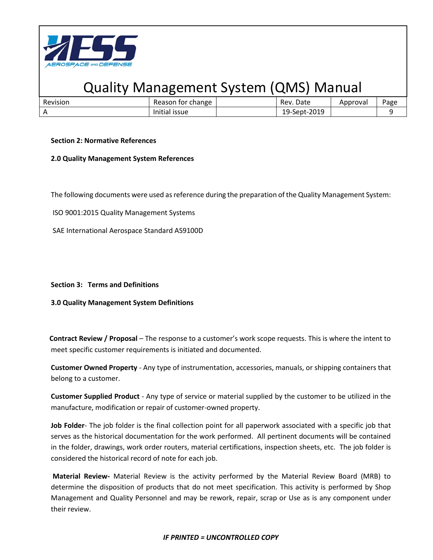

| Revision | change<br>Reason<br>TOr.            | Date<br>Rev                    | Approval | Page |
|----------|-------------------------------------|--------------------------------|----------|------|
|          | $\cdots$<br>Initial<br><b>ISSUE</b> | -2019<br>$19$ -Sept- $\degree$ |          |      |

#### **Section 2: Normative References**

#### **2.0 Quality Management System References**

The following documents were used as reference during the preparation of the Quality Management System:

ISO 9001:2015 Quality Management Systems

SAE International Aerospace Standard AS9100D

#### **Section 3: Terms and Definitions**

**3.0 Quality Management System Definitions**

**Contract Review / Proposal** – The response to a customer's work scope requests. This is where the intent to meet specific customer requirements is initiated and documented.

**Customer Owned Property** - Any type of instrumentation, accessories, manuals, or shipping containers that belong to a customer.

**Customer Supplied Product** - Any type of service or material supplied by the customer to be utilized in the manufacture, modification or repair of customer-owned property.

**Job Folder**- The job folder is the final collection point for all paperwork associated with a specific job that serves as the historical documentation for the work performed. All pertinent documents will be contained in the folder, drawings, work order routers, material certifications, inspection sheets, etc. The job folder is considered the historical record of note for each job.

**Material Review-** Material Review is the activity performed by the Material Review Board (MRB) to determine the disposition of products that do not meet specification. This activity is performed by Shop Management and Quality Personnel and may be rework, repair, scrap or Use as is any component under their review.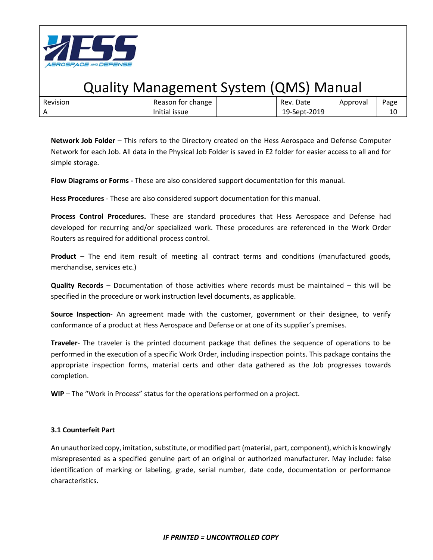

| Revision | for change<br>Reason                | Date<br>Rev.     | Approval | Page |
|----------|-------------------------------------|------------------|----------|------|
|          | $\cdots$<br>Initial<br><b>ISSUE</b> | -Sept-2019<br>19 |          | 10   |

**Network Job Folder** – This refers to the Directory created on the Hess Aerospace and Defense Computer Network for each Job. All data in the Physical Job Folder is saved in E2 folder for easier access to all and for simple storage.

**Flow Diagrams or Forms -** These are also considered support documentation for this manual.

**Hess Procedures** - These are also considered support documentation for this manual.

**Process Control Procedures.** These are standard procedures that Hess Aerospace and Defense had developed for recurring and/or specialized work. These procedures are referenced in the Work Order Routers as required for additional process control.

**Product** – The end item result of meeting all contract terms and conditions (manufactured goods, merchandise, services etc.)

**Quality Records** – Documentation of those activities where records must be maintained – this will be specified in the procedure or work instruction level documents, as applicable.

**Source Inspection**- An agreement made with the customer, government or their designee, to verify conformance of a product at Hess Aerospace and Defense or at one of its supplier's premises.

**Traveler**- The traveler is the printed document package that defines the sequence of operations to be performed in the execution of a specific Work Order, including inspection points. This package contains the appropriate inspection forms, material certs and other data gathered as the Job progresses towards completion.

**WIP** – The "Work in Process" status for the operations performed on a project.

### **3.1 Counterfeit Part**

An unauthorized copy, imitation, substitute, or modified part (material, part, component), which is knowingly misrepresented as a specified genuine part of an original or authorized manufacturer. May include: false identification of marking or labeling, grade, serial number, date code, documentation or performance characteristics.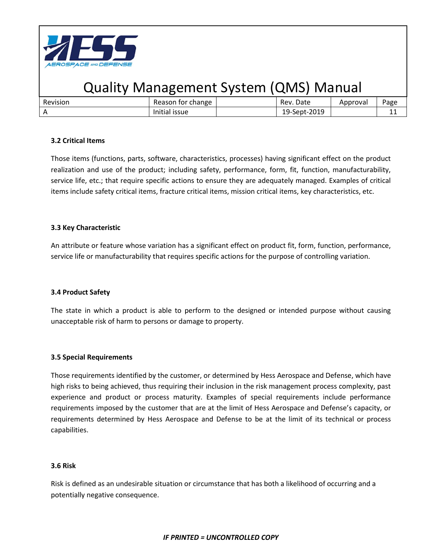

| Revision | for change<br>Reason    | Date<br>Rev. | Approval | Page       |
|----------|-------------------------|--------------|----------|------------|
|          | Initial<br><b>ISSUE</b> | 19-Sept-2019 |          | <b>. .</b> |

### **3.2 Critical Items**

Those items (functions, parts, software, characteristics, processes) having significant effect on the product realization and use of the product; including safety, performance, form, fit, function, manufacturability, service life, etc.; that require specific actions to ensure they are adequately managed. Examples of critical items include safety critical items, fracture critical items, mission critical items, key characteristics, etc.

### **3.3 Key Characteristic**

An attribute or feature whose variation has a significant effect on product fit, form, function, performance, service life or manufacturability that requires specific actions for the purpose of controlling variation.

### **3.4 Product Safety**

The state in which a product is able to perform to the designed or intended purpose without causing unacceptable risk of harm to persons or damage to property.

### **3.5 Special Requirements**

Those requirements identified by the customer, or determined by Hess Aerospace and Defense, which have high risks to being achieved, thus requiring their inclusion in the risk management process complexity, past experience and product or process maturity. Examples of special requirements include performance requirements imposed by the customer that are at the limit of Hess Aerospace and Defense's capacity, or requirements determined by Hess Aerospace and Defense to be at the limit of its technical or process capabilities.

### **3.6 Risk**

Risk is defined as an undesirable situation or circumstance that has both a likelihood of occurring and a potentially negative consequence.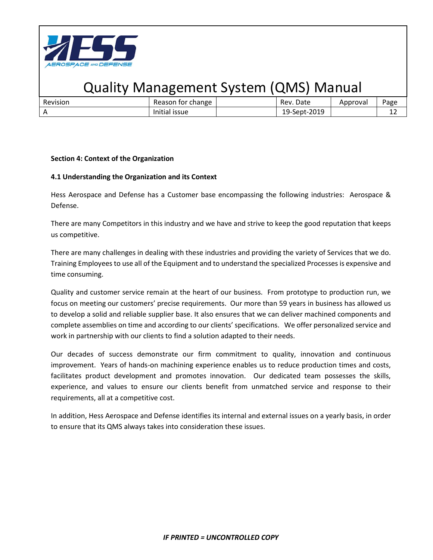

| Revision | for change<br>Reason    | Date<br>Rev. | Approval | Page |
|----------|-------------------------|--------------|----------|------|
|          | Initial<br><b>issue</b> | 19-Sept-2019 |          | . .  |

#### **Section 4: Context of the Organization**

### **4.1 Understanding the Organization and its Context**

Hess Aerospace and Defense has a Customer base encompassing the following industries: Aerospace & Defense.

There are many Competitors in this industry and we have and strive to keep the good reputation that keeps us competitive.

There are many challenges in dealing with these industries and providing the variety of Services that we do. Training Employees to use all of the Equipment and to understand the specialized Processes is expensive and time consuming.

Quality and customer service remain at the heart of our business. From prototype to production run, we focus on meeting our customers' precise requirements. Our more than 59 years in business has allowed us to develop a solid and reliable supplier base. It also ensures that we can deliver machined components and complete assemblies on time and according to our clients' specifications. We offer personalized service and work in partnership with our clients to find a solution adapted to their needs.

Our decades of success demonstrate our firm commitment to quality, innovation and continuous improvement. Years of hands-on machining experience enables us to reduce production times and costs, facilitates product development and promotes innovation. Our dedicated team possesses the skills, experience, and values to ensure our clients benefit from unmatched service and response to their requirements, all at a competitive cost.

In addition, Hess Aerospace and Defense identifies its internal and external issues on a yearly basis, in order to ensure that its QMS always takes into consideration these issues.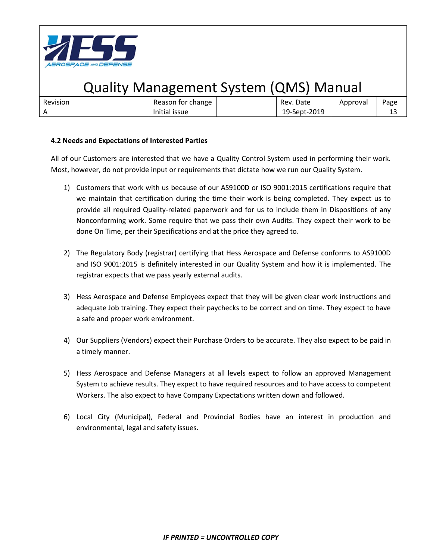

| <b>Revision</b> | change<br>tor<br>Reason            | Date<br><b>Rev</b>   | Approval | Page     |
|-----------------|------------------------------------|----------------------|----------|----------|
|                 | $\cdots$<br><b>ISSUE</b><br>nitidi | $19$ -Sept-<br>ZUIS. |          | --<br>__ |

### **4.2 Needs and Expectations of Interested Parties**

All of our Customers are interested that we have a Quality Control System used in performing their work. Most, however, do not provide input or requirements that dictate how we run our Quality System.

- 1) Customers that work with us because of our AS9100D or ISO 9001:2015 certifications require that we maintain that certification during the time their work is being completed. They expect us to provide all required Quality-related paperwork and for us to include them in Dispositions of any Nonconforming work. Some require that we pass their own Audits. They expect their work to be done On Time, per their Specifications and at the price they agreed to.
- 2) The Regulatory Body (registrar) certifying that Hess Aerospace and Defense conforms to AS9100D and ISO 9001:2015 is definitely interested in our Quality System and how it is implemented. The registrar expects that we pass yearly external audits.
- 3) Hess Aerospace and Defense Employees expect that they will be given clear work instructions and adequate Job training. They expect their paychecks to be correct and on time. They expect to have a safe and proper work environment.
- 4) Our Suppliers (Vendors) expect their Purchase Orders to be accurate. They also expect to be paid in a timely manner.
- 5) Hess Aerospace and Defense Managers at all levels expect to follow an approved Management System to achieve results. They expect to have required resources and to have access to competent Workers. The also expect to have Company Expectations written down and followed.
- 6) Local City (Municipal), Federal and Provincial Bodies have an interest in production and environmental, legal and safety issues.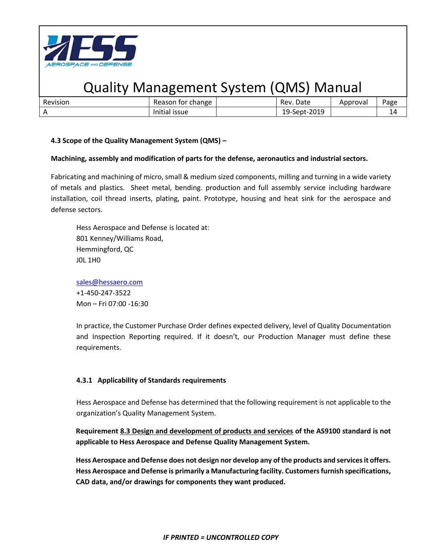

| Revision | change<br>tor i<br>Reason | Date<br>Rev.         | Approval | Page |
|----------|---------------------------|----------------------|----------|------|
|          | $\cdots$<br>Initial issue | $-2019$<br>19-Sept-2 |          |      |

### **4.3 Scope of the Quality Management System (QMS) –**

### **Machining, assembly and modification of parts for the defense, aeronautics and industrial sectors.**

Fabricating and machining of micro, small & medium sized components, milling and turning in a wide variety of metals and plastics. Sheet metal, bending. production and full assembly service including hardware installation, coil thread inserts, plating, paint. Prototype, housing and heat sink for the aerospace and defense sectors.

Hess Aerospace and Defense is located at: 801 Kenney/Williams Road, Hemmingford, QC J0L 1H0

[sales@hessaero.com](mailto:sales@hessaero.com) +1-450-247-3522 Mon – Fri 07:00 -16:30

In practice, the Customer Purchase Order defines expected delivery, level of Quality Documentation and Inspection Reporting required. If it doesn't, our Production Manager must define these requirements.

### **4.3.1 Applicability of Standards requirements**

Hess Aerospace and Defense has determined that the following requirement is not applicable to the organization's Quality Management System.

**Requirement 8.3 Design and development of products and services of the AS9100 standard is not applicable to Hess Aerospace and Defense Quality Management System.**

**Hess Aerospace and Defense does not design nor develop any of the products and services it offers. Hess Aerospace and Defense is primarily a Manufacturing facility. Customers furnish specifications, CAD data, and/or drawings for components they want produced.**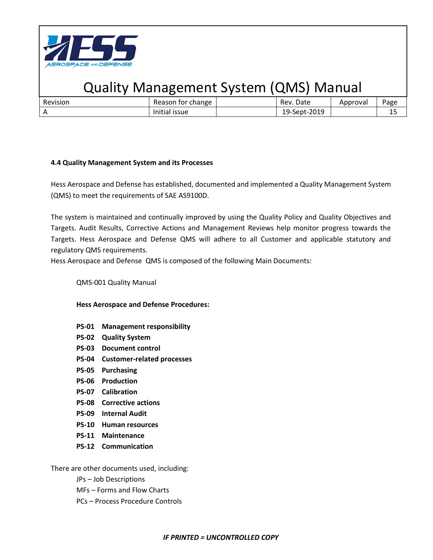

| Revision       | change<br>tor<br>- Reason | Date<br>Rev. | Approval | Page      |
|----------------|---------------------------|--------------|----------|-----------|
| $\overline{A}$ | <b>issue</b><br>iliitidi  | 19-Sept-2019 |          | . .<br>-- |

#### **4.4 Quality Management System and its Processes**

Hess Aerospace and Defense has established, documented and implemented a Quality Management System (QMS) to meet the requirements of SAE AS9100D.

The system is maintained and continually improved by using the Quality Policy and Quality Objectives and Targets. Audit Results, Corrective Actions and Management Reviews help monitor progress towards the Targets. Hess Aerospace and Defense QMS will adhere to all Customer and applicable statutory and regulatory QMS requirements.

Hess Aerospace and Defense QMS is composed of the following Main Documents:

#### QMS-001 Quality Manual

**Hess Aerospace and Defense Procedures:**

- **PS-01 Management responsibility**
- **PS-02 Quality System**
- **PS-03 Document control**
- **PS-04 Customer-related processes**
- **PS-05 Purchasing**
- **PS-06 Production**
- **PS-07 Calibration**
- **PS-08 Corrective actions**
- **PS-09 Internal Audit**
- **PS-10 Human resources**
- **PS-11 Maintenance**
- **PS-12 Communication**

There are other documents used, including:

JPs – Job Descriptions

- MFs Forms and Flow Charts
- PCs Process Procedure Controls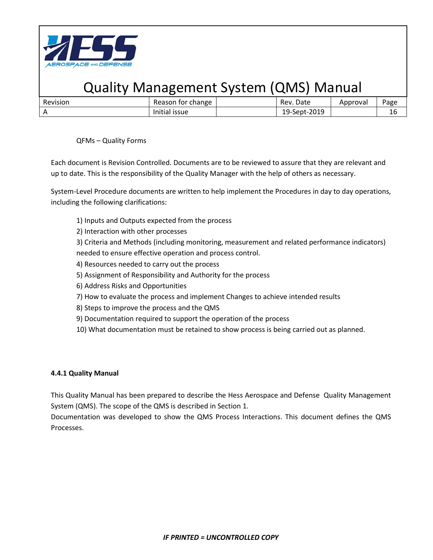

| Revision | change<br>tor i<br>Reason | Date<br>Rev.         | Approval | Page |
|----------|---------------------------|----------------------|----------|------|
|          | $\cdots$<br>Initial issue | $-2019$<br>19-Sept-2 |          | ᅩ    |

QFMs – Quality Forms

Each document is Revision Controlled. Documents are to be reviewed to assure that they are relevant and up to date. This is the responsibility of the Quality Manager with the help of others as necessary.

System-Level Procedure documents are written to help implement the Procedures in day to day operations, including the following clarifications:

- 1) Inputs and Outputs expected from the process
- 2) Interaction with other processes

3) Criteria and Methods (including monitoring, measurement and related performance indicators) needed to ensure effective operation and process control.

- 4) Resources needed to carry out the process
- 5) Assignment of Responsibility and Authority for the process
- 6) Address Risks and Opportunities
- 7) How to evaluate the process and implement Changes to achieve intended results
- 8) Steps to improve the process and the QMS
- 9) Documentation required to support the operation of the process
- 10) What documentation must be retained to show process is being carried out as planned.

### **4.4.1 Quality Manual**

This Quality Manual has been prepared to describe the Hess Aerospace and Defense Quality Management System (QMS). The scope of the QMS is described in Section 1.

Documentation was developed to show the QMS Process Interactions. This document defines the QMS Processes.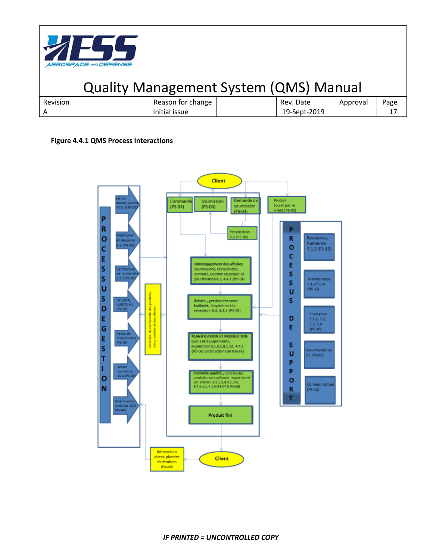

| Revision | Reason for change | Rev. Date    | Approval | Page |
|----------|-------------------|--------------|----------|------|
|          | Initial issue     | 19-Sept-2019 |          | . .  |

#### **Figure 4.4.1 QMS Process Interactions**

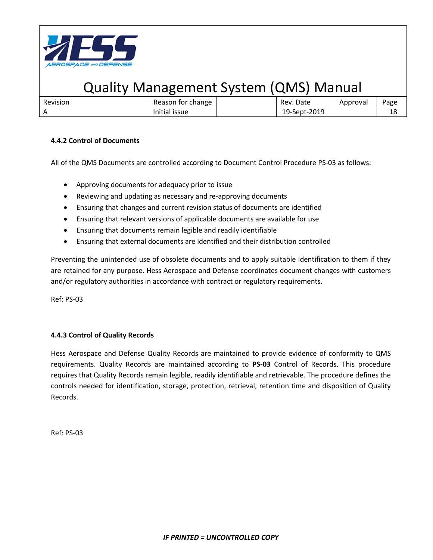

| Revision | Reason<br>for change | Rev. Date    | Approval | Page      |
|----------|----------------------|--------------|----------|-----------|
|          | nitial issue         | 19-Sept-2019 |          | 1 C<br>ΨO |

### **4.4.2 Control of Documents**

All of the QMS Documents are controlled according to Document Control Procedure PS-03 as follows:

- Approving documents for adequacy prior to issue
- Reviewing and updating as necessary and re-approving documents
- Ensuring that changes and current revision status of documents are identified
- Ensuring that relevant versions of applicable documents are available for use
- Ensuring that documents remain legible and readily identifiable
- Ensuring that external documents are identified and their distribution controlled

Preventing the unintended use of obsolete documents and to apply suitable identification to them if they are retained for any purpose. Hess Aerospace and Defense coordinates document changes with customers and/or regulatory authorities in accordance with contract or regulatory requirements.

Ref: PS-03

### **4.4.3 Control of Quality Records**

Hess Aerospace and Defense Quality Records are maintained to provide evidence of conformity to QMS requirements. Quality Records are maintained according to **PS-03** Control of Records. This procedure requires that Quality Records remain legible, readily identifiable and retrievable. The procedure defines the controls needed for identification, storage, protection, retrieval, retention time and disposition of Quality Records.

Ref: PS-03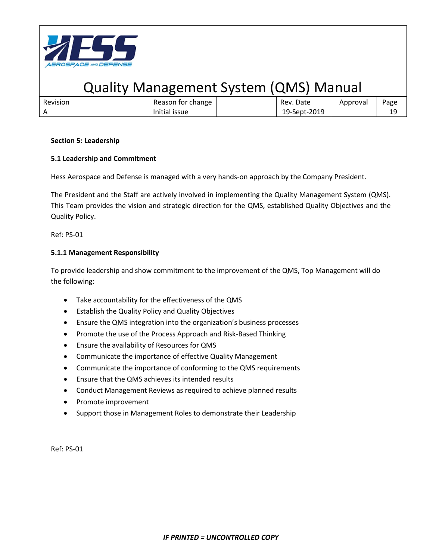

| Revision | Reason for change | Rev. Date    | Approval | Page |
|----------|-------------------|--------------|----------|------|
|          | Initial issue     | 19-Sept-2019 |          | سد   |

#### **Section 5: Leadership**

### **5.1 Leadership and Commitment**

Hess Aerospace and Defense is managed with a very hands-on approach by the Company President.

The President and the Staff are actively involved in implementing the Quality Management System (QMS). This Team provides the vision and strategic direction for the QMS, established Quality Objectives and the Quality Policy.

Ref: PS-01

### **5.1.1 Management Responsibility**

To provide leadership and show commitment to the improvement of the QMS, Top Management will do the following:

- Take accountability for the effectiveness of the QMS
- Establish the Quality Policy and Quality Objectives
- Ensure the QMS integration into the organization's business processes
- Promote the use of the Process Approach and Risk-Based Thinking
- Ensure the availability of Resources for QMS
- Communicate the importance of effective Quality Management
- Communicate the importance of conforming to the QMS requirements
- Ensure that the QMS achieves its intended results
- Conduct Management Reviews as required to achieve planned results
- Promote improvement
- Support those in Management Roles to demonstrate their Leadership

Ref: PS-01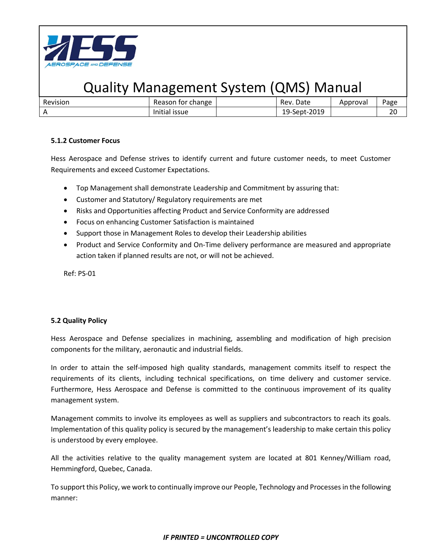

| Revision | Reason for change | Rev. Date    | Approval | Page         |
|----------|-------------------|--------------|----------|--------------|
|          | Initial issue     | 19-Sept-2019 |          | $\sim$<br>∠⊾ |

### **5.1.2 Customer Focus**

Hess Aerospace and Defense strives to identify current and future customer needs, to meet Customer Requirements and exceed Customer Expectations.

- Top Management shall demonstrate Leadership and Commitment by assuring that:
- Customer and Statutory/ Regulatory requirements are met
- Risks and Opportunities affecting Product and Service Conformity are addressed
- Focus on enhancing Customer Satisfaction is maintained
- Support those in Management Roles to develop their Leadership abilities
- Product and Service Conformity and On-Time delivery performance are measured and appropriate action taken if planned results are not, or will not be achieved.

Ref: PS-01

### **5.2 Quality Policy**

Hess Aerospace and Defense specializes in machining, assembling and modification of high precision components for the military, aeronautic and industrial fields.

In order to attain the self-imposed high quality standards, management commits itself to respect the requirements of its clients, including technical specifications, on time delivery and customer service. Furthermore, Hess Aerospace and Defense is committed to the continuous improvement of its quality management system.

Management commits to involve its employees as well as suppliers and subcontractors to reach its goals. Implementation of this quality policy is secured by the management's leadership to make certain this policy is understood by every employee.

All the activities relative to the quality management system are located at 801 Kenney/William road, Hemmingford, Quebec, Canada.

To support this Policy, we work to continually improve our People, Technology and Processes in the following manner: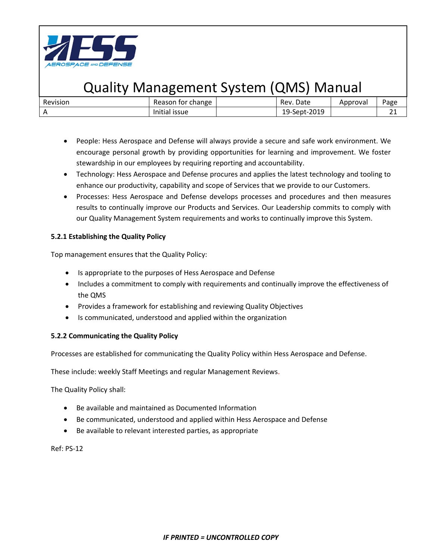

| Revision | Reason for change                  | Date<br>Rev. | Approval | Page |
|----------|------------------------------------|--------------|----------|------|
|          | $\cdots$<br><b>ISSUE</b><br>nitial | 19-Sept-2019 |          | --   |

- People: Hess Aerospace and Defense will always provide a secure and safe work environment. We encourage personal growth by providing opportunities for learning and improvement. We foster stewardship in our employees by requiring reporting and accountability.
- Technology: Hess Aerospace and Defense procures and applies the latest technology and tooling to enhance our productivity, capability and scope of Services that we provide to our Customers.
- Processes: Hess Aerospace and Defense develops processes and procedures and then measures results to continually improve our Products and Services. Our Leadership commits to comply with our Quality Management System requirements and works to continually improve this System.

### **5.2.1 Establishing the Quality Policy**

Top management ensures that the Quality Policy:

- Is appropriate to the purposes of Hess Aerospace and Defense
- Includes a commitment to comply with requirements and continually improve the effectiveness of the QMS
- Provides a framework for establishing and reviewing Quality Objectives
- Is communicated, understood and applied within the organization

### **5.2.2 Communicating the Quality Policy**

Processes are established for communicating the Quality Policy within Hess Aerospace and Defense.

These include: weekly Staff Meetings and regular Management Reviews.

The Quality Policy shall:

- Be available and maintained as Documented Information
- Be communicated, understood and applied within Hess Aerospace and Defense
- Be available to relevant interested parties, as appropriate

Ref: PS-12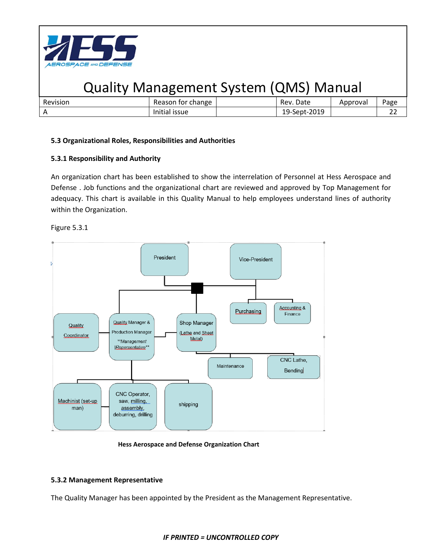

| Revision | Reason for change | Date<br>Rev. | Approvai | Page    |
|----------|-------------------|--------------|----------|---------|
|          | Initial issue     | 19-Sept-2019 |          | ~~<br>ے |
|          |                   |              |          |         |

### **5.3 Organizational Roles, Responsibilities and Authorities**

### **5.3.1 Responsibility and Authority**

An organization chart has been established to show the interrelation of Personnel at Hess Aerospace and Defense . Job functions and the organizational chart are reviewed and approved by Top Management for adequacy. This chart is available in this Quality Manual to help employees understand lines of authority within the Organization.





 **Hess Aerospace and Defense Organization Chart**

### **5.3.2 Management Representative**

The Quality Manager has been appointed by the President as the Management Representative.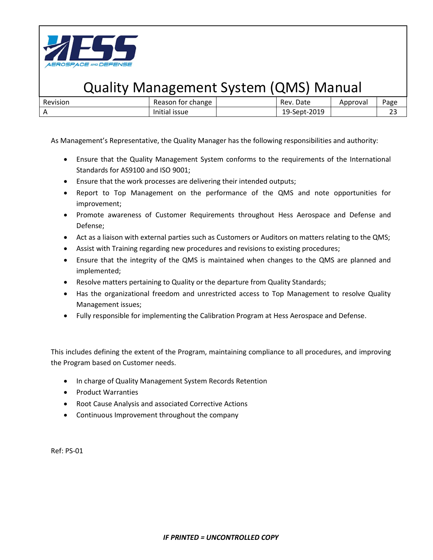

| Revision | for change<br>Reason                | Date<br>Rev.                       | Approval | Page |
|----------|-------------------------------------|------------------------------------|----------|------|
|          | $\cdots$<br>Initial<br><b>ISSUE</b> | $-2019$<br>$19$ -Sept-2 $\epsilon$ |          |      |

As Management's Representative, the Quality Manager has the following responsibilities and authority:

- Ensure that the Quality Management System conforms to the requirements of the International Standards for AS9100 and ISO 9001;
- Ensure that the work processes are delivering their intended outputs;
- Report to Top Management on the performance of the QMS and note opportunities for improvement;
- Promote awareness of Customer Requirements throughout Hess Aerospace and Defense and Defense;
- Act as a liaison with external parties such as Customers or Auditors on matters relating to the QMS;
- Assist with Training regarding new procedures and revisions to existing procedures;
- Ensure that the integrity of the QMS is maintained when changes to the QMS are planned and implemented;
- Resolve matters pertaining to Quality or the departure from Quality Standards;
- Has the organizational freedom and unrestricted access to Top Management to resolve Quality Management issues;
- Fully responsible for implementing the Calibration Program at Hess Aerospace and Defense.

This includes defining the extent of the Program, maintaining compliance to all procedures, and improving the Program based on Customer needs.

- In charge of Quality Management System Records Retention
- Product Warranties
- Root Cause Analysis and associated Corrective Actions
- Continuous Improvement throughout the company

Ref: PS-01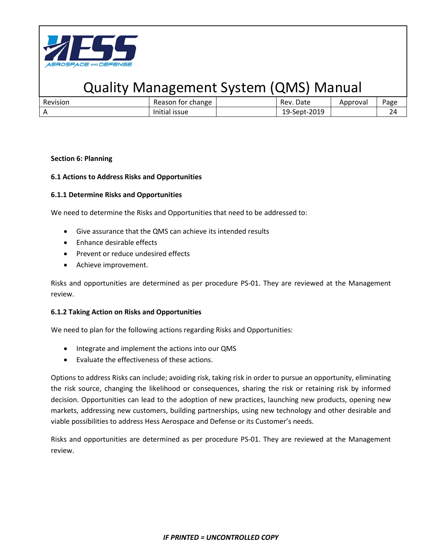

| Revision | Reason for change | Rev. Date    | Approval | <sup>o</sup> age |
|----------|-------------------|--------------|----------|------------------|
|          | Initial issue     | 19-Sept-2019 |          |                  |

#### **Section 6: Planning**

### **6.1 Actions to Address Risks and Opportunities**

#### **6.1.1 Determine Risks and Opportunities**

We need to determine the Risks and Opportunities that need to be addressed to:

- Give assurance that the QMS can achieve its intended results
- Enhance desirable effects
- Prevent or reduce undesired effects
- Achieve improvement.

Risks and opportunities are determined as per procedure PS-01. They are reviewed at the Management review.

#### **6.1.2 Taking Action on Risks and Opportunities**

We need to plan for the following actions regarding Risks and Opportunities:

- Integrate and implement the actions into our QMS
- Evaluate the effectiveness of these actions.

Options to address Risks can include; avoiding risk, taking risk in order to pursue an opportunity, eliminating the risk source, changing the likelihood or consequences, sharing the risk or retaining risk by informed decision. Opportunities can lead to the adoption of new practices, launching new products, opening new markets, addressing new customers, building partnerships, using new technology and other desirable and viable possibilities to address Hess Aerospace and Defense or its Customer's needs.

Risks and opportunities are determined as per procedure PS-01. They are reviewed at the Management review.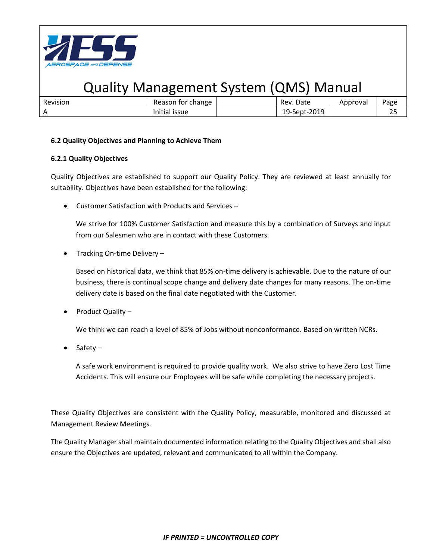

| Revision   | change<br>Reason<br>for             | Date<br>Rev.                       | Approval | Page      |
|------------|-------------------------------------|------------------------------------|----------|-----------|
| $\sqrt{ }$ | $\cdots$<br><b>ISSUE</b><br>Thitial | $-2019$<br>$19$ -Sept-2 $\sqrt{ }$ |          | ~-<br>ر ے |

### **6.2 Quality Objectives and Planning to Achieve Them**

#### **6.2.1 Quality Objectives**

Quality Objectives are established to support our Quality Policy. They are reviewed at least annually for suitability. Objectives have been established for the following:

• Customer Satisfaction with Products and Services –

We strive for 100% Customer Satisfaction and measure this by a combination of Surveys and input from our Salesmen who are in contact with these Customers.

• Tracking On-time Delivery -

Based on historical data, we think that 85% on-time delivery is achievable. Due to the nature of our business, there is continual scope change and delivery date changes for many reasons. The on-time delivery date is based on the final date negotiated with the Customer.

• Product Quality –

We think we can reach a level of 85% of Jobs without nonconformance. Based on written NCRs.

• Safety –

A safe work environment is required to provide quality work. We also strive to have Zero Lost Time Accidents. This will ensure our Employees will be safe while completing the necessary projects.

These Quality Objectives are consistent with the Quality Policy, measurable, monitored and discussed at Management Review Meetings.

The Quality Manager shall maintain documented information relating to the Quality Objectives and shall also ensure the Objectives are updated, relevant and communicated to all within the Company.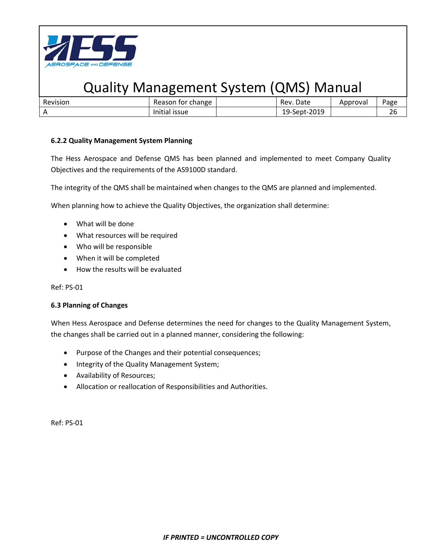

| Revision | Reason for change | Rev. Date    | Approval | Page |
|----------|-------------------|--------------|----------|------|
|          | Initial issue     | 19-Sept-2019 |          |      |

### **6.2.2 Quality Management System Planning**

The Hess Aerospace and Defense QMS has been planned and implemented to meet Company Quality Objectives and the requirements of the AS9100D standard.

The integrity of the QMS shall be maintained when changes to the QMS are planned and implemented.

When planning how to achieve the Quality Objectives, the organization shall determine:

- What will be done
- What resources will be required
- Who will be responsible
- When it will be completed
- How the results will be evaluated

Ref: PS-01

#### **6.3 Planning of Changes**

When Hess Aerospace and Defense determines the need for changes to the Quality Management System, the changes shall be carried out in a planned manner, considering the following:

- Purpose of the Changes and their potential consequences;
- Integrity of the Quality Management System;
- Availability of Resources;
- Allocation or reallocation of Responsibilities and Authorities.

Ref: PS-01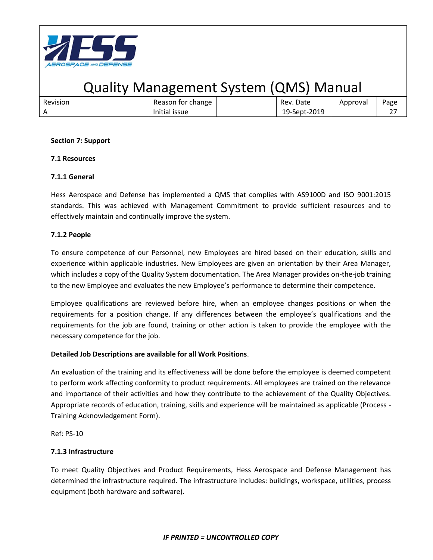

| Revision | change<br>tor<br>Reason              | Date<br>Rev.        | Approval | Page              |
|----------|--------------------------------------|---------------------|----------|-------------------|
|          | $\cdots$<br><b>ISSUE</b><br>illitidi | 2019-<br>19-Sept-20 |          | $\sim$ $-$<br>. . |

#### **Section 7: Support**

### **7.1 Resources**

### **7.1.1 General**

Hess Aerospace and Defense has implemented a QMS that complies with AS9100D and ISO 9001:2015 standards. This was achieved with Management Commitment to provide sufficient resources and to effectively maintain and continually improve the system.

### **7.1.2 People**

To ensure competence of our Personnel, new Employees are hired based on their education, skills and experience within applicable industries. New Employees are given an orientation by their Area Manager, which includes a copy of the Quality System documentation. The Area Manager provides on-the-job training to the new Employee and evaluates the new Employee's performance to determine their competence.

Employee qualifications are reviewed before hire, when an employee changes positions or when the requirements for a position change. If any differences between the employee's qualifications and the requirements for the job are found, training or other action is taken to provide the employee with the necessary competence for the job.

### **Detailed Job Descriptions are available for all Work Positions**.

An evaluation of the training and its effectiveness will be done before the employee is deemed competent to perform work affecting conformity to product requirements. All employees are trained on the relevance and importance of their activities and how they contribute to the achievement of the Quality Objectives. Appropriate records of education, training, skills and experience will be maintained as applicable (Process - Training Acknowledgement Form).

Ref: PS-10

### **7.1.3 Infrastructure**

To meet Quality Objectives and Product Requirements, Hess Aerospace and Defense Management has determined the infrastructure required. The infrastructure includes: buildings, workspace, utilities, process equipment (both hardware and software).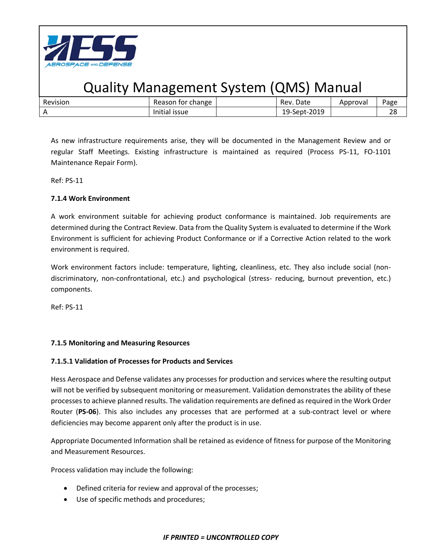

| Revision | Reason for change | Rev. Date    | Approval | Page     |
|----------|-------------------|--------------|----------|----------|
|          | Initial issue     | 19-Sept-2019 |          | າດ<br>40 |

As new infrastructure requirements arise, they will be documented in the Management Review and or regular Staff Meetings. Existing infrastructure is maintained as required (Process PS-11, FO-1101 Maintenance Repair Form).

Ref: PS-11

### **7.1.4 Work Environment**

A work environment suitable for achieving product conformance is maintained. Job requirements are determined during the Contract Review. Data from the Quality System is evaluated to determine if the Work Environment is sufficient for achieving Product Conformance or if a Corrective Action related to the work environment is required.

Work environment factors include: temperature, lighting, cleanliness, etc. They also include social (nondiscriminatory, non-confrontational, etc.) and psychological (stress- reducing, burnout prevention, etc.) components.

Ref: PS-11

### **7.1.5 Monitoring and Measuring Resources**

### **7.1.5.1 Validation of Processes for Products and Services**

Hess Aerospace and Defense validates any processes for production and services where the resulting output will not be verified by subsequent monitoring or measurement. Validation demonstrates the ability of these processes to achieve planned results. The validation requirements are defined as required in the Work Order Router (**PS-06**). This also includes any processes that are performed at a sub-contract level or where deficiencies may become apparent only after the product is in use.

Appropriate Documented Information shall be retained as evidence of fitness for purpose of the Monitoring and Measurement Resources.

Process validation may include the following:

- Defined criteria for review and approval of the processes;
- Use of specific methods and procedures;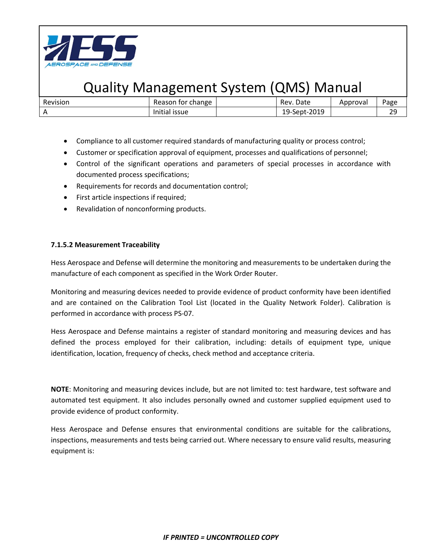

| Revision | Reason for change | Rev. Date    | Approval | Page     |
|----------|-------------------|--------------|----------|----------|
|          | Initial issue     | 19-Sept-2019 |          | つC<br>25 |

- Compliance to all customer required standards of manufacturing quality or process control;
- Customer or specification approval of equipment, processes and qualifications of personnel;
- Control of the significant operations and parameters of special processes in accordance with documented process specifications;
- Requirements for records and documentation control;
- First article inspections if required;
- Revalidation of nonconforming products.

#### **7.1.5.2 Measurement Traceability**

Hess Aerospace and Defense will determine the monitoring and measurements to be undertaken during the manufacture of each component as specified in the Work Order Router.

Monitoring and measuring devices needed to provide evidence of product conformity have been identified and are contained on the Calibration Tool List (located in the Quality Network Folder). Calibration is performed in accordance with process PS-07.

Hess Aerospace and Defense maintains a register of standard monitoring and measuring devices and has defined the process employed for their calibration, including: details of equipment type, unique identification, location, frequency of checks, check method and acceptance criteria.

**NOTE**: Monitoring and measuring devices include, but are not limited to: test hardware, test software and automated test equipment. It also includes personally owned and customer supplied equipment used to provide evidence of product conformity.

Hess Aerospace and Defense ensures that environmental conditions are suitable for the calibrations, inspections, measurements and tests being carried out. Where necessary to ensure valid results, measuring equipment is: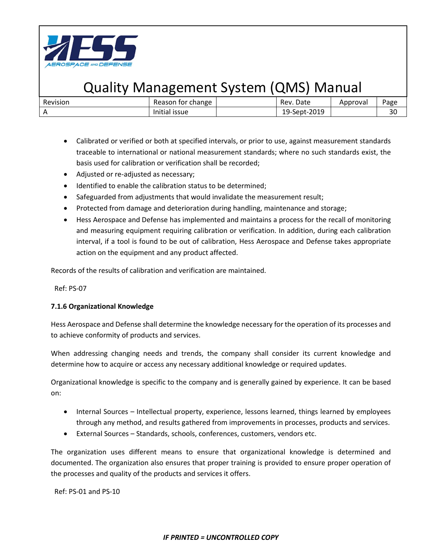

| Revision | Reason for change | Rev. Date    | Approval | Page |
|----------|-------------------|--------------|----------|------|
|          | Initial issue     | 19-Sept-2019 |          | 30   |

- Calibrated or verified or both at specified intervals, or prior to use, against measurement standards traceable to international or national measurement standards; where no such standards exist, the basis used for calibration or verification shall be recorded;
- Adjusted or re-adjusted as necessary;
- Identified to enable the calibration status to be determined;
- Safeguarded from adjustments that would invalidate the measurement result;
- Protected from damage and deterioration during handling, maintenance and storage;
- Hess Aerospace and Defense has implemented and maintains a process for the recall of monitoring and measuring equipment requiring calibration or verification. In addition, during each calibration interval, if a tool is found to be out of calibration, Hess Aerospace and Defense takes appropriate action on the equipment and any product affected.

Records of the results of calibration and verification are maintained.

Ref: PS-07

### **7.1.6 Organizational Knowledge**

Hess Aerospace and Defense shall determine the knowledge necessary for the operation of its processes and to achieve conformity of products and services.

When addressing changing needs and trends, the company shall consider its current knowledge and determine how to acquire or access any necessary additional knowledge or required updates.

Organizational knowledge is specific to the company and is generally gained by experience. It can be based on:

- Internal Sources Intellectual property, experience, lessons learned, things learned by employees through any method, and results gathered from improvements in processes, products and services.
- External Sources Standards, schools, conferences, customers, vendors etc.

The organization uses different means to ensure that organizational knowledge is determined and documented. The organization also ensures that proper training is provided to ensure proper operation of the processes and quality of the products and services it offers.

Ref: PS-01 and PS-10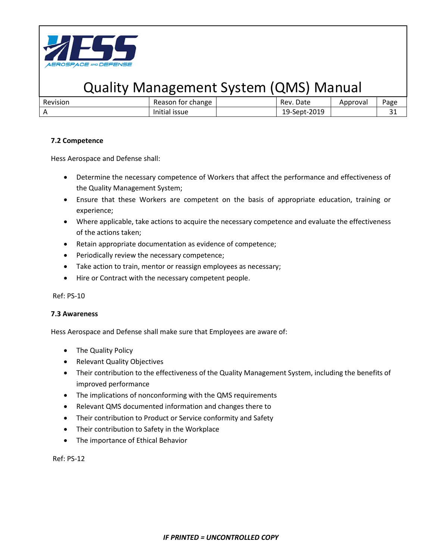

| Revision | change<br>tor<br>Reason           | Date<br>Rev. | Approval | Page        |
|----------|-----------------------------------|--------------|----------|-------------|
|          | $\cdots$<br><b>ISSUE</b><br>Itid. | 19-Sept-2019 |          | $\sim$<br>ັ |

### **7.2 Competence**

Hess Aerospace and Defense shall:

- Determine the necessary competence of Workers that affect the performance and effectiveness of the Quality Management System;
- Ensure that these Workers are competent on the basis of appropriate education, training or experience;
- Where applicable, take actions to acquire the necessary competence and evaluate the effectiveness of the actions taken;
- Retain appropriate documentation as evidence of competence;
- Periodically review the necessary competence;
- Take action to train, mentor or reassign employees as necessary;
- Hire or Contract with the necessary competent people.

Ref: PS-10

### **7.3 Awareness**

Hess Aerospace and Defense shall make sure that Employees are aware of:

- The Quality Policy
- Relevant Quality Objectives
- Their contribution to the effectiveness of the Quality Management System, including the benefits of improved performance
- The implications of nonconforming with the QMS requirements
- Relevant QMS documented information and changes there to
- Their contribution to Product or Service conformity and Safety
- Their contribution to Safety in the Workplace
- The importance of Ethical Behavior

Ref: PS-12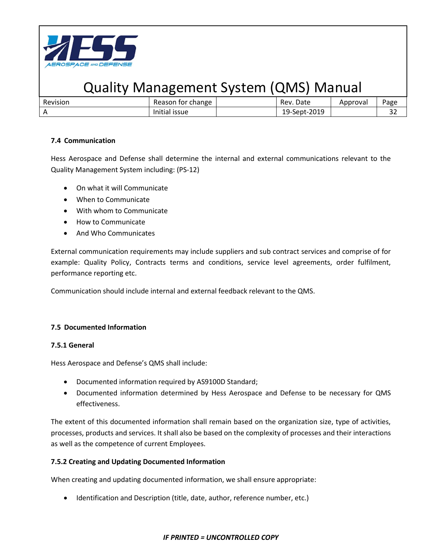

| Revision | Reason for change | Rev. Date    | Approval | Page |
|----------|-------------------|--------------|----------|------|
|          | Initial issue     | 19-Sept-2019 |          | ے ر  |

### **7.4 Communication**

Hess Aerospace and Defense shall determine the internal and external communications relevant to the Quality Management System including: (PS-12)

- On what it will Communicate
- When to Communicate
- With whom to Communicate
- How to Communicate
- And Who Communicates

External communication requirements may include suppliers and sub contract services and comprise of for example: Quality Policy, Contracts terms and conditions, service level agreements, order fulfilment, performance reporting etc.

Communication should include internal and external feedback relevant to the QMS.

### **7.5 Documented Information**

### **7.5.1 General**

Hess Aerospace and Defense's QMS shall include:

- Documented information required by AS9100D Standard;
- Documented information determined by Hess Aerospace and Defense to be necessary for QMS effectiveness.

The extent of this documented information shall remain based on the organization size, type of activities, processes, products and services. It shall also be based on the complexity of processes and their interactions as well as the competence of current Employees.

### **7.5.2 Creating and Updating Documented Information**

When creating and updating documented information, we shall ensure appropriate:

• Identification and Description (title, date, author, reference number, etc.)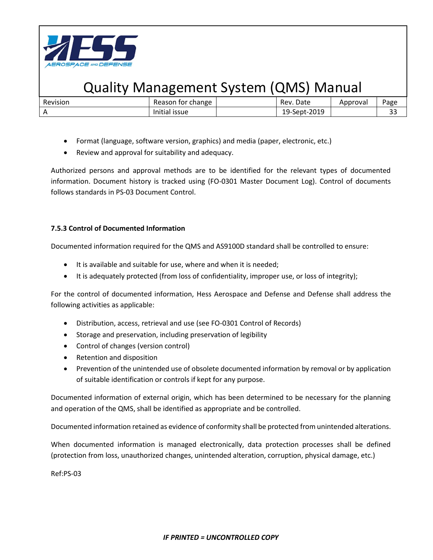

| Revision   | tor change<br>Reason | Date<br>Rev. | Approval | Page      |
|------------|----------------------|--------------|----------|-----------|
| $\sqrt{ }$ | Initial issue        | 19-Sept-2019 |          | ~~<br>ر ر |

- Format (language, software version, graphics) and media (paper, electronic, etc.)
- Review and approval for suitability and adequacy.

Authorized persons and approval methods are to be identified for the relevant types of documented information. Document history is tracked using (FO-0301 Master Document Log). Control of documents follows standards in PS-03 Document Control.

### **7.5.3 Control of Documented Information**

Documented information required for the QMS and AS9100D standard shall be controlled to ensure:

- It is available and suitable for use, where and when it is needed;
- It is adequately protected (from loss of confidentiality, improper use, or loss of integrity);

For the control of documented information, Hess Aerospace and Defense and Defense shall address the following activities as applicable:

- Distribution, access, retrieval and use (see FO-0301 Control of Records)
- Storage and preservation, including preservation of legibility
- Control of changes (version control)
- Retention and disposition
- Prevention of the unintended use of obsolete documented information by removal or by application of suitable identification or controls if kept for any purpose.

Documented information of external origin, which has been determined to be necessary for the planning and operation of the QMS, shall be identified as appropriate and be controlled.

Documented information retained as evidence of conformity shall be protected from unintended alterations.

When documented information is managed electronically, data protection processes shall be defined (protection from loss, unauthorized changes, unintended alteration, corruption, physical damage, etc.)

Ref:PS-03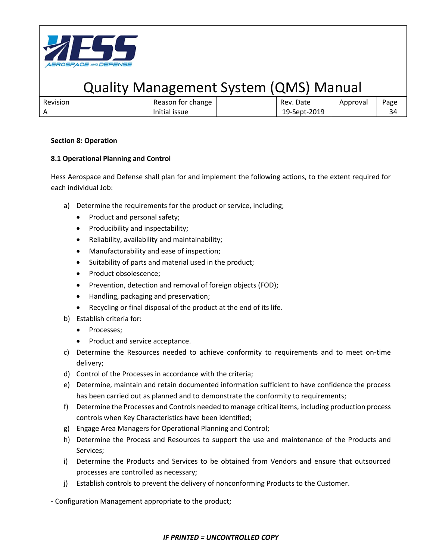

| Revision | Reason for change | Rev. Date    | Approval | Page |
|----------|-------------------|--------------|----------|------|
|          | Initial issue     | 19-Sept-2019 |          |      |

#### **Section 8: Operation**

### **8.1 Operational Planning and Control**

Hess Aerospace and Defense shall plan for and implement the following actions, to the extent required for each individual Job:

- a) Determine the requirements for the product or service, including;
	- Product and personal safety;
	- Producibility and inspectability;
	- Reliability, availability and maintainability;
	- Manufacturability and ease of inspection;
	- Suitability of parts and material used in the product;
	- Product obsolescence;
	- Prevention, detection and removal of foreign objects (FOD);
	- Handling, packaging and preservation;
	- Recycling or final disposal of the product at the end of its life.
- b) Establish criteria for:
	- Processes;
	- Product and service acceptance.
- c) Determine the Resources needed to achieve conformity to requirements and to meet on-time delivery;
- d) Control of the Processes in accordance with the criteria;
- e) Determine, maintain and retain documented information sufficient to have confidence the process has been carried out as planned and to demonstrate the conformity to requirements;
- f) Determine the Processes and Controls needed to manage critical items, including production process controls when Key Characteristics have been identified;
- g) Engage Area Managers for Operational Planning and Control;
- h) Determine the Process and Resources to support the use and maintenance of the Products and Services;
- i) Determine the Products and Services to be obtained from Vendors and ensure that outsourced processes are controlled as necessary;
- j) Establish controls to prevent the delivery of nonconforming Products to the Customer.

- Configuration Management appropriate to the product;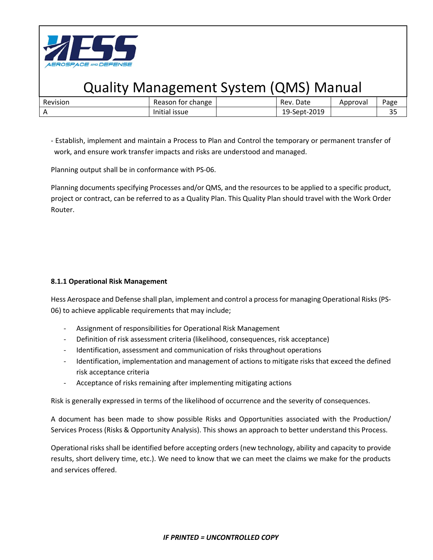

| Revision | Reason for change | Rev. Date    | Approval | Page     |
|----------|-------------------|--------------|----------|----------|
|          | Initial issue     | 19-Sept-2019 |          | ົ<br>ں ر |

- Establish, implement and maintain a Process to Plan and Control the temporary or permanent transfer of work, and ensure work transfer impacts and risks are understood and managed.

Planning output shall be in conformance with PS-06.

Planning documents specifying Processes and/or QMS, and the resources to be applied to a specific product, project or contract, can be referred to as a Quality Plan. This Quality Plan should travel with the Work Order Router.

### **8.1.1 Operational Risk Management**

Hess Aerospace and Defense shall plan, implement and control a process for managing Operational Risks (PS-06) to achieve applicable requirements that may include;

- Assignment of responsibilities for Operational Risk Management
- Definition of risk assessment criteria (likelihood, consequences, risk acceptance)
- Identification, assessment and communication of risks throughout operations
- Identification, implementation and management of actions to mitigate risks that exceed the defined risk acceptance criteria
- Acceptance of risks remaining after implementing mitigating actions

Risk is generally expressed in terms of the likelihood of occurrence and the severity of consequences.

A document has been made to show possible Risks and Opportunities associated with the Production/ Services Process (Risks & Opportunity Analysis). This shows an approach to better understand this Process.

Operational risks shall be identified before accepting orders (new technology, ability and capacity to provide results, short delivery time, etc.). We need to know that we can meet the claims we make for the products and services offered.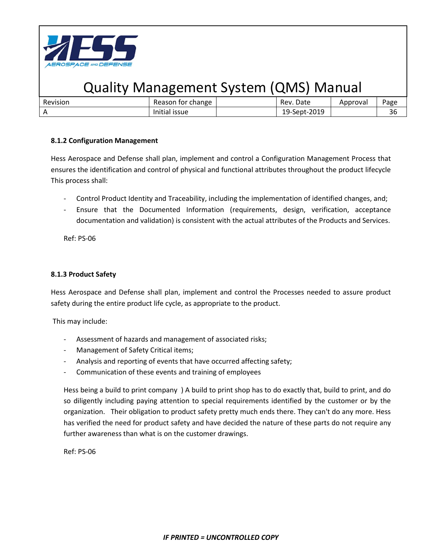

| Revision | for change<br>Reason    | Date<br>Rev. | Approval | Page         |
|----------|-------------------------|--------------|----------|--------------|
|          | Initial<br><b>ISSUE</b> | 19-Sept-2019 |          | $\sim$<br>3t |

### **8.1.2 Configuration Management**

Hess Aerospace and Defense shall plan, implement and control a Configuration Management Process that ensures the identification and control of physical and functional attributes throughout the product lifecycle This process shall:

- Control Product Identity and Traceability, including the implementation of identified changes, and;
- Ensure that the Documented Information (requirements, design, verification, acceptance documentation and validation) is consistent with the actual attributes of the Products and Services.

Ref: PS-06

### **8.1.3 Product Safety**

Hess Aerospace and Defense shall plan, implement and control the Processes needed to assure product safety during the entire product life cycle, as appropriate to the product.

This may include:

- Assessment of hazards and management of associated risks;
- Management of Safety Critical items;
- Analysis and reporting of events that have occurred affecting safety;
- Communication of these events and training of employees

Hess being a build to print company ) A build to print shop has to do exactly that, build to print, and do so diligently including paying attention to special requirements identified by the customer or by the organization. Their obligation to product safety pretty much ends there. They can't do any more. Hess has verified the need for product safety and have decided the nature of these parts do not require any further awareness than what is on the customer drawings.

Ref: PS-06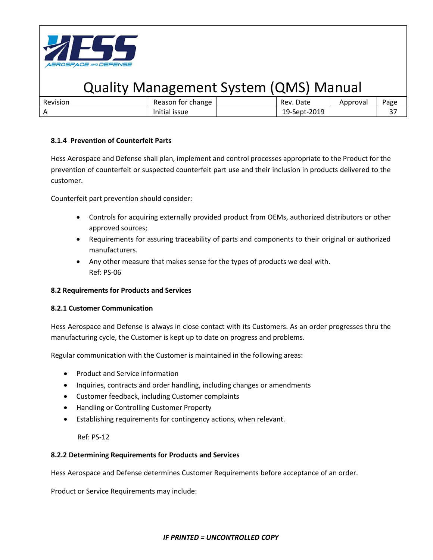

| Revision | Reason for change | Rev. Date    | Approvai | Page |
|----------|-------------------|--------------|----------|------|
|          | Initial issue     | 19-Sept-2019 |          | ، ب  |

### **8.1.4 Prevention of Counterfeit Parts**

Hess Aerospace and Defense shall plan, implement and control processes appropriate to the Product for the prevention of counterfeit or suspected counterfeit part use and their inclusion in products delivered to the customer.

Counterfeit part prevention should consider:

- Controls for acquiring externally provided product from OEMs, authorized distributors or other approved sources;
- Requirements for assuring traceability of parts and components to their original or authorized manufacturers.
- Any other measure that makes sense for the types of products we deal with. Ref: PS-06

#### **8.2 Requirements for Products and Services**

#### **8.2.1 Customer Communication**

Hess Aerospace and Defense is always in close contact with its Customers. As an order progresses thru the manufacturing cycle, the Customer is kept up to date on progress and problems.

Regular communication with the Customer is maintained in the following areas:

- Product and Service information
- Inquiries, contracts and order handling, including changes or amendments
- Customer feedback, including Customer complaints
- Handling or Controlling Customer Property
- Establishing requirements for contingency actions, when relevant.

Ref: PS-12

#### **8.2.2 Determining Requirements for Products and Services**

Hess Aerospace and Defense determines Customer Requirements before acceptance of an order.

Product or Service Requirements may include: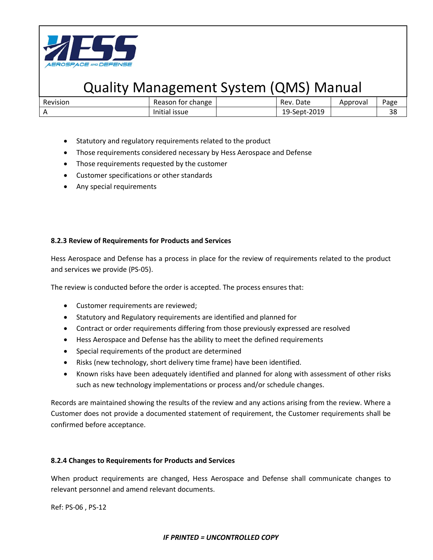

| Revision | Reason for change | Rev. Date    | Approval | Page     |
|----------|-------------------|--------------|----------|----------|
|          | Initial issue     | 19-Sept-2019 |          | າດ<br>эс |

- Statutory and regulatory requirements related to the product
- Those requirements considered necessary by Hess Aerospace and Defense
- Those requirements requested by the customer
- Customer specifications or other standards
- Any special requirements

#### **8.2.3 Review of Requirements for Products and Services**

Hess Aerospace and Defense has a process in place for the review of requirements related to the product and services we provide (PS-05).

The review is conducted before the order is accepted. The process ensures that:

- Customer requirements are reviewed;
- Statutory and Regulatory requirements are identified and planned for
- Contract or order requirements differing from those previously expressed are resolved
- Hess Aerospace and Defense has the ability to meet the defined requirements
- Special requirements of the product are determined
- Risks (new technology, short delivery time frame) have been identified.
- Known risks have been adequately identified and planned for along with assessment of other risks such as new technology implementations or process and/or schedule changes.

Records are maintained showing the results of the review and any actions arising from the review. Where a Customer does not provide a documented statement of requirement, the Customer requirements shall be confirmed before acceptance.

#### **8.2.4 Changes to Requirements for Products and Services**

When product requirements are changed, Hess Aerospace and Defense shall communicate changes to relevant personnel and amend relevant documents.

Ref: PS-06 , PS-12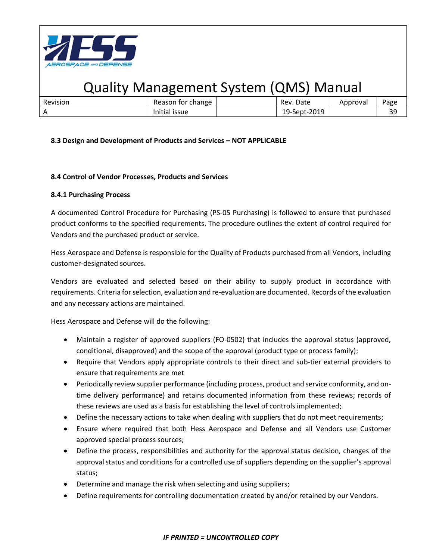

| Revision | change<br>Reason<br>. for           | Date<br>Rev.            | Approval | Page            |
|----------|-------------------------------------|-------------------------|----------|-----------------|
|          | $\cdots$<br>Initial<br><b>ISSUE</b> | $-2019$<br>$19$ -Sept-2 |          | n c<br><u>-</u> |

### **8.3 Design and Development of Products and Services – NOT APPLICABLE**

### **8.4 Control of Vendor Processes, Products and Services**

#### **8.4.1 Purchasing Process**

A documented Control Procedure for Purchasing (PS-05 Purchasing) is followed to ensure that purchased product conforms to the specified requirements. The procedure outlines the extent of control required for Vendors and the purchased product or service.

Hess Aerospace and Defense is responsible for the Quality of Products purchased from all Vendors, including customer-designated sources.

Vendors are evaluated and selected based on their ability to supply product in accordance with requirements. Criteria for selection, evaluation and re-evaluation are documented. Records of the evaluation and any necessary actions are maintained.

Hess Aerospace and Defense will do the following:

- Maintain a register of approved suppliers (FO-0502) that includes the approval status (approved, conditional, disapproved) and the scope of the approval (product type or process family);
- Require that Vendors apply appropriate controls to their direct and sub-tier external providers to ensure that requirements are met
- Periodically review supplier performance (including process, product and service conformity, and ontime delivery performance) and retains documented information from these reviews; records of these reviews are used as a basis for establishing the level of controls implemented;
- Define the necessary actions to take when dealing with suppliers that do not meet requirements;
- Ensure where required that both Hess Aerospace and Defense and all Vendors use Customer approved special process sources;
- Define the process, responsibilities and authority for the approval status decision, changes of the approval status and conditions for a controlled use of suppliers depending on the supplier's approval status;
- Determine and manage the risk when selecting and using suppliers;
- Define requirements for controlling documentation created by and/or retained by our Vendors.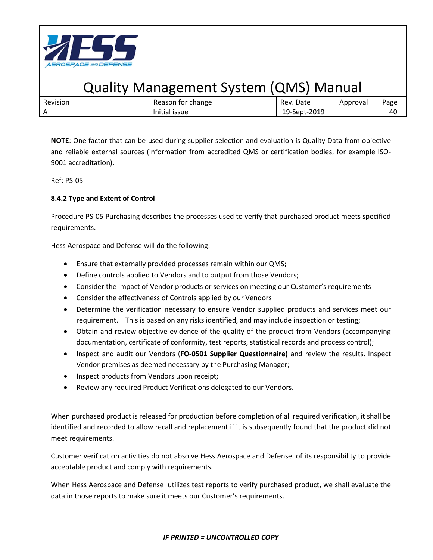

| Revision | tor change<br>Reason | Date<br>Rev. | Approval | Page |
|----------|----------------------|--------------|----------|------|
|          | .<br>Initial issue   | 19-Sept-2019 |          | 40   |

**NOTE**: One factor that can be used during supplier selection and evaluation is Quality Data from objective and reliable external sources (information from accredited QMS or certification bodies, for example ISO-9001 accreditation).

Ref: PS-05

### **8.4.2 Type and Extent of Control**

Procedure PS-05 Purchasing describes the processes used to verify that purchased product meets specified requirements.

Hess Aerospace and Defense will do the following:

- Ensure that externally provided processes remain within our QMS;
- Define controls applied to Vendors and to output from those Vendors;
- Consider the impact of Vendor products or services on meeting our Customer's requirements
- Consider the effectiveness of Controls applied by our Vendors
- Determine the verification necessary to ensure Vendor supplied products and services meet our requirement. This is based on any risks identified, and may include inspection or testing;
- Obtain and review objective evidence of the quality of the product from Vendors (accompanying documentation, certificate of conformity, test reports, statistical records and process control);
- Inspect and audit our Vendors (**FO-0501 Supplier Questionnaire)** and review the results. Inspect Vendor premises as deemed necessary by the Purchasing Manager;
- Inspect products from Vendors upon receipt;
- Review any required Product Verifications delegated to our Vendors.

When purchased product is released for production before completion of all required verification, it shall be identified and recorded to allow recall and replacement if it is subsequently found that the product did not meet requirements.

Customer verification activities do not absolve Hess Aerospace and Defense of its responsibility to provide acceptable product and comply with requirements.

When Hess Aerospace and Defense utilizes test reports to verify purchased product, we shall evaluate the data in those reports to make sure it meets our Customer's requirements.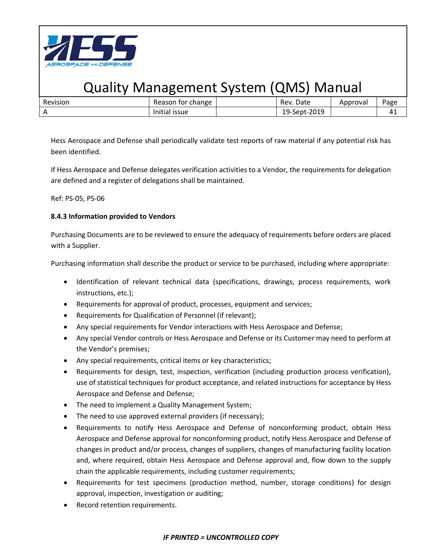

| Revision | change<br>Reason<br>tor            | Date<br>Rev.            | Approval | Page |
|----------|------------------------------------|-------------------------|----------|------|
|          | $\cdots$<br><b>ISSUE</b><br>mutidi | 2019<br>19-Sept-2.<br>ᅩ |          | 41   |

Hess Aerospace and Defense shall periodically validate test reports of raw material if any potential risk has been identified.

If Hess Aerospace and Defense delegates verification activities to a Vendor, the requirements for delegation are defined and a register of delegations shall be maintained.

Ref: PS-05, PS-06

### **8.4.3 Information provided to Vendors**

Purchasing Documents are to be reviewed to ensure the adequacy of requirements before orders are placed with a Supplier.

Purchasing information shall describe the product or service to be purchased, including where appropriate:

- Identification of relevant technical data (specifications, drawings, process requirements, work instructions, etc.);
- Requirements for approval of product, processes, equipment and services;
- Requirements for Qualification of Personnel (if relevant);
- Any special requirements for Vendor interactions with Hess Aerospace and Defense;
- Any special Vendor controls or Hess Aerospace and Defense or its Customer may need to perform at the Vendor's premises;
- Any special requirements, critical items or key characteristics;
- Requirements for design, test, inspection, verification (including production process verification), use of statistical techniques for product acceptance, and related instructions for acceptance by Hess Aerospace and Defense and Defense;
- The need to implement a Quality Management System;
- The need to use approved external providers (if necessary);
- Requirements to notify Hess Aerospace and Defense of nonconforming product, obtain Hess Aerospace and Defense approval for nonconforming product, notify Hess Aerospace and Defense of changes in product and/or process, changes of suppliers, changes of manufacturing facility location and, where required, obtain Hess Aerospace and Defense approval and, flow down to the supply chain the applicable requirements, including customer requirements;
- Requirements for test specimens (production method, number, storage conditions) for design approval, inspection, investigation or auditing;
- Record retention requirements.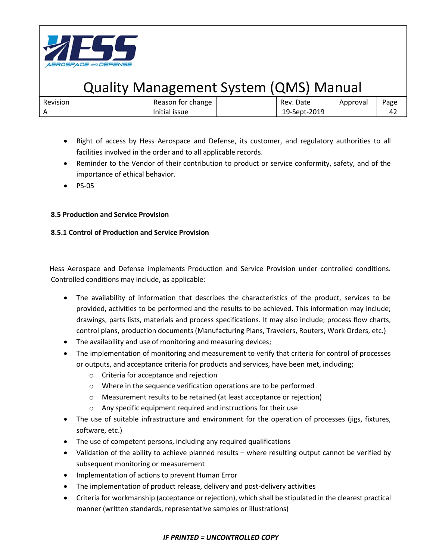

| Revision<br>Rev. Date<br>Reason for change<br>Approval | Page |
|--------------------------------------------------------|------|
| 19-Sept-2019<br>Initial issue                          | 42   |

- Right of access by Hess Aerospace and Defense, its customer, and regulatory authorities to all facilities involved in the order and to all applicable records.
- Reminder to the Vendor of their contribution to product or service conformity, safety, and of the importance of ethical behavior.
- PS-05

### **8.5 Production and Service Provision**

### **8.5.1 Control of Production and Service Provision**

Hess Aerospace and Defense implements Production and Service Provision under controlled conditions. Controlled conditions may include, as applicable:

- The availability of information that describes the characteristics of the product, services to be provided, activities to be performed and the results to be achieved. This information may include; drawings, parts lists, materials and process specifications. It may also include; process flow charts, control plans, production documents (Manufacturing Plans, Travelers, Routers, Work Orders, etc.)
- The availability and use of monitoring and measuring devices;
- The implementation of monitoring and measurement to verify that criteria for control of processes or outputs, and acceptance criteria for products and services, have been met, including;
	- o Criteria for acceptance and rejection
	- o Where in the sequence verification operations are to be performed
	- o Measurement results to be retained (at least acceptance or rejection)
	- o Any specific equipment required and instructions for their use
- The use of suitable infrastructure and environment for the operation of processes (jigs, fixtures, software, etc.)
- The use of competent persons, including any required qualifications
- Validation of the ability to achieve planned results where resulting output cannot be verified by subsequent monitoring or measurement
- Implementation of actions to prevent Human Error
- The implementation of product release, delivery and post-delivery activities
- Criteria for workmanship (acceptance or rejection), which shall be stipulated in the clearest practical manner (written standards, representative samples or illustrations)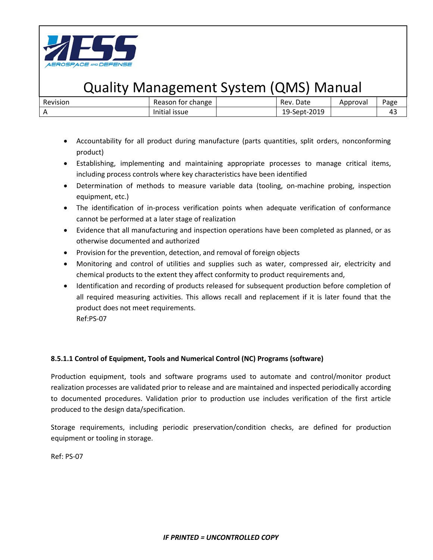

| Revision | <sup>.</sup> change<br>Reason for | Date<br>Rev. | Approval | Page |
|----------|-----------------------------------|--------------|----------|------|
|          | Initial<br><b>ISSUE</b>           | 19-Sept-2019 |          | 43   |

- Accountability for all product during manufacture (parts quantities, split orders, nonconforming product)
- Establishing, implementing and maintaining appropriate processes to manage critical items, including process controls where key characteristics have been identified
- Determination of methods to measure variable data (tooling, on-machine probing, inspection equipment, etc.)
- The identification of in-process verification points when adequate verification of conformance cannot be performed at a later stage of realization
- Evidence that all manufacturing and inspection operations have been completed as planned, or as otherwise documented and authorized
- Provision for the prevention, detection, and removal of foreign objects
- Monitoring and control of utilities and supplies such as water, compressed air, electricity and chemical products to the extent they affect conformity to product requirements and,
- Identification and recording of products released for subsequent production before completion of all required measuring activities. This allows recall and replacement if it is later found that the product does not meet requirements. Ref:PS-07

### **8.5.1.1 Control of Equipment, Tools and Numerical Control (NC) Programs (software)**

Production equipment, tools and software programs used to automate and control/monitor product realization processes are validated prior to release and are maintained and inspected periodically according to documented procedures. Validation prior to production use includes verification of the first article produced to the design data/specification.

Storage requirements, including periodic preservation/condition checks, are defined for production equipment or tooling in storage.

Ref: PS-07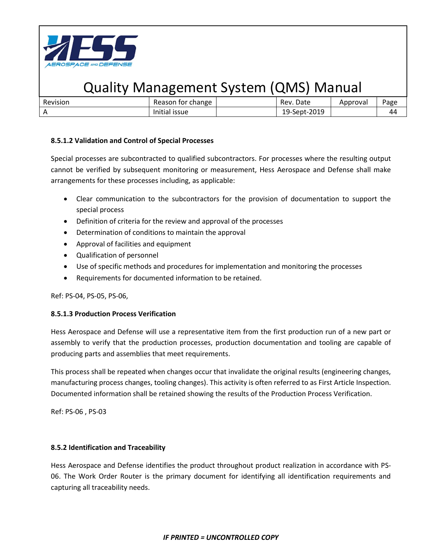

| Revision | Reason for change | Rev. Date    | Approvai | Page |
|----------|-------------------|--------------|----------|------|
|          | Initial issue     | 19-Sept-2019 |          | 44   |

### **8.5.1.2 Validation and Control of Special Processes**

Special processes are subcontracted to qualified subcontractors. For processes where the resulting output cannot be verified by subsequent monitoring or measurement, Hess Aerospace and Defense shall make arrangements for these processes including, as applicable:

- Clear communication to the subcontractors for the provision of documentation to support the special process
- Definition of criteria for the review and approval of the processes
- Determination of conditions to maintain the approval
- Approval of facilities and equipment
- Qualification of personnel
- Use of specific methods and procedures for implementation and monitoring the processes
- Requirements for documented information to be retained.

Ref: PS-04, PS-05, PS-06,

### **8.5.1.3 Production Process Verification**

Hess Aerospace and Defense will use a representative item from the first production run of a new part or assembly to verify that the production processes, production documentation and tooling are capable of producing parts and assemblies that meet requirements.

This process shall be repeated when changes occur that invalidate the original results (engineering changes, manufacturing process changes, tooling changes). This activity is often referred to as First Article Inspection. Documented information shall be retained showing the results of the Production Process Verification.

Ref: PS-06 , PS-03

### **8.5.2 Identification and Traceability**

Hess Aerospace and Defense identifies the product throughout product realization in accordance with PS-06. The Work Order Router is the primary document for identifying all identification requirements and capturing all traceability needs.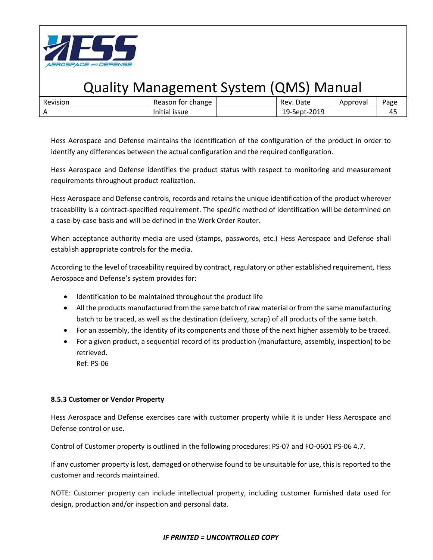

| Revision | change<br>tor<br>Reason  | Date<br>Rev.            | Approval | Page |
|----------|--------------------------|-------------------------|----------|------|
|          | <b>ISSUE</b><br>illitidi | 2019<br>19-Sept-2\<br>ᅩ |          | 4.   |

Hess Aerospace and Defense maintains the identification of the configuration of the product in order to identify any differences between the actual configuration and the required configuration.

Hess Aerospace and Defense identifies the product status with respect to monitoring and measurement requirements throughout product realization.

Hess Aerospace and Defense controls, records and retains the unique identification of the product wherever traceability is a contract-specified requirement. The specific method of identification will be determined on a case-by-case basis and will be defined in the Work Order Router.

When acceptance authority media are used (stamps, passwords, etc.) Hess Aerospace and Defense shall establish appropriate controls for the media.

According to the level of traceability required by contract, regulatory or other established requirement, Hess Aerospace and Defense's system provides for:

- Identification to be maintained throughout the product life
- All the products manufactured from the same batch of raw material or from the same manufacturing batch to be traced, as well as the destination (delivery, scrap) of all products of the same batch.
- For an assembly, the identity of its components and those of the next higher assembly to be traced.
- For a given product, a sequential record of its production (manufacture, assembly, inspection) to be retrieved. Ref: PS-06

### **8.5.3 Customer or Vendor Property**

Hess Aerospace and Defense exercises care with customer property while it is under Hess Aerospace and Defense control or use.

Control of Customer property is outlined in the following procedures: PS-07 and FO-0601 PS-06 4.7.

If any customer property is lost, damaged or otherwise found to be unsuitable for use, this is reported to the customer and records maintained.

NOTE: Customer property can include intellectual property, including customer furnished data used for design, production and/or inspection and personal data.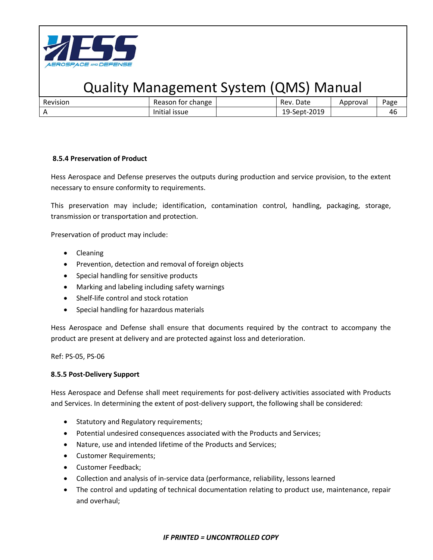

| Revision | Reason for change | Rev. Date    | Approval | Page |
|----------|-------------------|--------------|----------|------|
|          | Initial issue     | 19-Sept-2019 |          | 40   |

### **8.5.4 Preservation of Product**

Hess Aerospace and Defense preserves the outputs during production and service provision, to the extent necessary to ensure conformity to requirements.

This preservation may include; identification, contamination control, handling, packaging, storage, transmission or transportation and protection.

Preservation of product may include:

- Cleaning
- Prevention, detection and removal of foreign objects
- Special handling for sensitive products
- Marking and labeling including safety warnings
- Shelf-life control and stock rotation
- Special handling for hazardous materials

Hess Aerospace and Defense shall ensure that documents required by the contract to accompany the product are present at delivery and are protected against loss and deterioration.

Ref: PS-05, PS-06

#### **8.5.5 Post-Delivery Support**

Hess Aerospace and Defense shall meet requirements for post-delivery activities associated with Products and Services. In determining the extent of post-delivery support, the following shall be considered:

- Statutory and Regulatory requirements;
- Potential undesired consequences associated with the Products and Services;
- Nature, use and intended lifetime of the Products and Services;
- Customer Requirements;
- Customer Feedback;
- Collection and analysis of in-service data (performance, reliability, lessons learned
- The control and updating of technical documentation relating to product use, maintenance, repair and overhaul;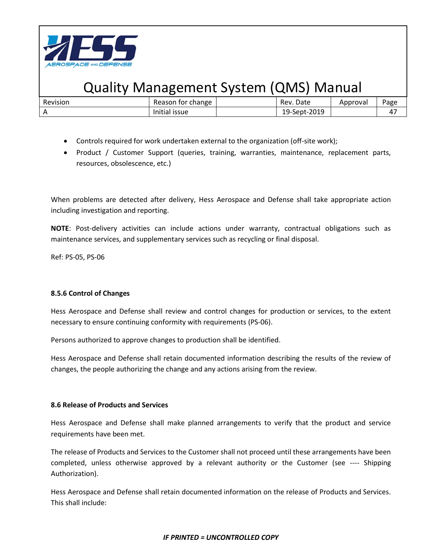

| Revision | Reason for change | Date<br>Rev. | Approval | Page |
|----------|-------------------|--------------|----------|------|
|          | Initial issue     | 19-Sept-2019 |          | 47   |

- Controls required for work undertaken external to the organization (off-site work);
- Product / Customer Support (queries, training, warranties, maintenance, replacement parts, resources, obsolescence, etc.)

When problems are detected after delivery, Hess Aerospace and Defense shall take appropriate action including investigation and reporting.

**NOTE**: Post-delivery activities can include actions under warranty, contractual obligations such as maintenance services, and supplementary services such as recycling or final disposal.

Ref: PS-05, PS-06

### **8.5.6 Control of Changes**

Hess Aerospace and Defense shall review and control changes for production or services, to the extent necessary to ensure continuing conformity with requirements (PS-06).

Persons authorized to approve changes to production shall be identified.

Hess Aerospace and Defense shall retain documented information describing the results of the review of changes, the people authorizing the change and any actions arising from the review.

### **8.6 Release of Products and Services**

Hess Aerospace and Defense shall make planned arrangements to verify that the product and service requirements have been met.

The release of Products and Services to the Customer shall not proceed until these arrangements have been completed, unless otherwise approved by a relevant authority or the Customer (see ---- Shipping Authorization).

Hess Aerospace and Defense shall retain documented information on the release of Products and Services. This shall include: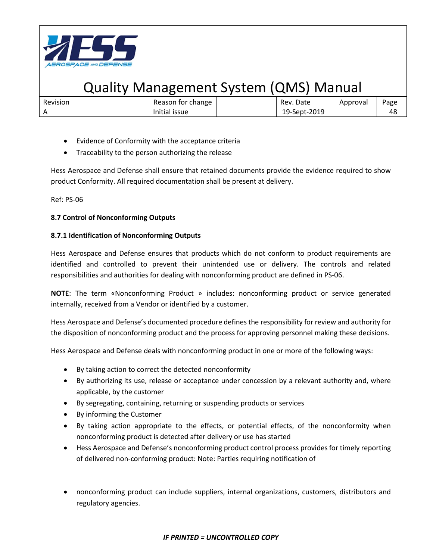

| Revision | Reason for change | Rev. Date    | Approval | Page |
|----------|-------------------|--------------|----------|------|
|          | Initial issue     | 19-Sept-2019 |          | 48   |

- Evidence of Conformity with the acceptance criteria
- Traceability to the person authorizing the release

Hess Aerospace and Defense shall ensure that retained documents provide the evidence required to show product Conformity. All required documentation shall be present at delivery.

Ref: PS-06

### **8.7 Control of Nonconforming Outputs**

### **8.7.1 Identification of Nonconforming Outputs**

Hess Aerospace and Defense ensures that products which do not conform to product requirements are identified and controlled to prevent their unintended use or delivery. The controls and related responsibilities and authorities for dealing with nonconforming product are defined in PS-06.

**NOTE**: The term «Nonconforming Product » includes: nonconforming product or service generated internally, received from a Vendor or identified by a customer.

Hess Aerospace and Defense's documented procedure defines the responsibility for review and authority for the disposition of nonconforming product and the process for approving personnel making these decisions.

Hess Aerospace and Defense deals with nonconforming product in one or more of the following ways:

- By taking action to correct the detected nonconformity
- By authorizing its use, release or acceptance under concession by a relevant authority and, where applicable, by the customer
- By segregating, containing, returning or suspending products or services
- By informing the Customer
- By taking action appropriate to the effects, or potential effects, of the nonconformity when nonconforming product is detected after delivery or use has started
- Hess Aerospace and Defense's nonconforming product control process provides for timely reporting of delivered non-conforming product: Note: Parties requiring notification of
- nonconforming product can include suppliers, internal organizations, customers, distributors and regulatory agencies.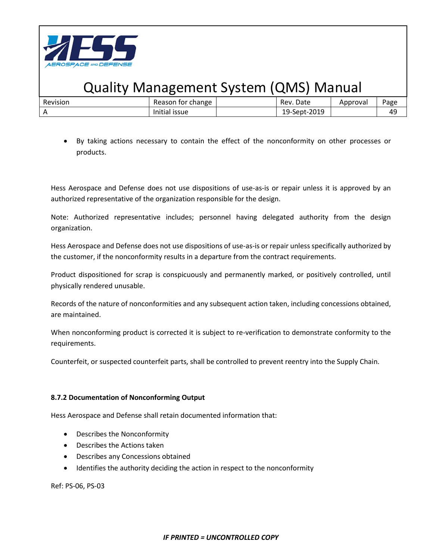

| Revision | change<br>tor<br>Reason      | Date<br>Rev.      | Approval | Page      |
|----------|------------------------------|-------------------|----------|-----------|
|          | $\cdots$<br>issue<br>Initial | -Sept-2019<br>19- |          | ДC<br>. . |

• By taking actions necessary to contain the effect of the nonconformity on other processes or products.

Hess Aerospace and Defense does not use dispositions of use-as-is or repair unless it is approved by an authorized representative of the organization responsible for the design.

Note: Authorized representative includes; personnel having delegated authority from the design organization.

Hess Aerospace and Defense does not use dispositions of use-as-is or repair unless specifically authorized by the customer, if the nonconformity results in a departure from the contract requirements.

Product dispositioned for scrap is conspicuously and permanently marked, or positively controlled, until physically rendered unusable.

Records of the nature of nonconformities and any subsequent action taken, including concessions obtained, are maintained.

When nonconforming product is corrected it is subject to re-verification to demonstrate conformity to the requirements.

Counterfeit, or suspected counterfeit parts, shall be controlled to prevent reentry into the Supply Chain.

### **8.7.2 Documentation of Nonconforming Output**

Hess Aerospace and Defense shall retain documented information that:

- Describes the Nonconformity
- Describes the Actions taken
- Describes any Concessions obtained
- Identifies the authority deciding the action in respect to the nonconformity

Ref: PS-06, PS-03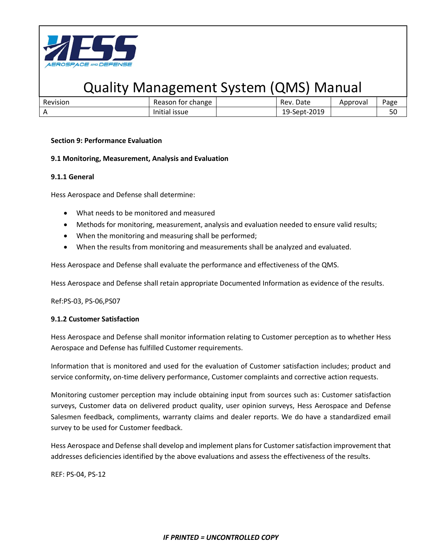

| Revision | Reason for change | Date<br>Rev. | Approval | Page |
|----------|-------------------|--------------|----------|------|
|          | Initial issue     | 19-Sept-2019 |          | 50   |

### **Section 9: Performance Evaluation**

#### **9.1 Monitoring, Measurement, Analysis and Evaluation**

#### **9.1.1 General**

Hess Aerospace and Defense shall determine:

- What needs to be monitored and measured
- Methods for monitoring, measurement, analysis and evaluation needed to ensure valid results;
- When the monitoring and measuring shall be performed;
- When the results from monitoring and measurements shall be analyzed and evaluated.

Hess Aerospace and Defense shall evaluate the performance and effectiveness of the QMS.

Hess Aerospace and Defense shall retain appropriate Documented Information as evidence of the results.

Ref:PS-03, PS-06,PS07

### **9.1.2 Customer Satisfaction**

Hess Aerospace and Defense shall monitor information relating to Customer perception as to whether Hess Aerospace and Defense has fulfilled Customer requirements.

Information that is monitored and used for the evaluation of Customer satisfaction includes; product and service conformity, on-time delivery performance, Customer complaints and corrective action requests.

Monitoring customer perception may include obtaining input from sources such as: Customer satisfaction surveys, Customer data on delivered product quality, user opinion surveys, Hess Aerospace and Defense Salesmen feedback, compliments, warranty claims and dealer reports. We do have a standardized email survey to be used for Customer feedback.

Hess Aerospace and Defense shall develop and implement plans for Customer satisfaction improvement that addresses deficiencies identified by the above evaluations and assess the effectiveness of the results.

REF: PS-04, PS-12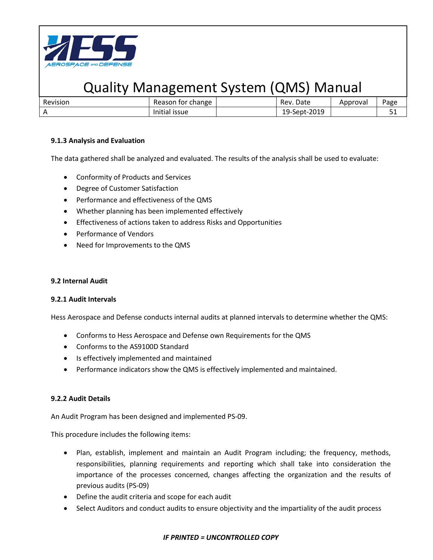

| Revision | Reason for change         | Rev. Date    | Approval | Page       |
|----------|---------------------------|--------------|----------|------------|
| . .      | $\cdots$<br>Initial issue | 19-Sept-2019 |          | <u>J 1</u> |

### **9.1.3 Analysis and Evaluation**

The data gathered shall be analyzed and evaluated. The results of the analysis shall be used to evaluate:

- Conformity of Products and Services
- Degree of Customer Satisfaction
- Performance and effectiveness of the QMS
- Whether planning has been implemented effectively
- Effectiveness of actions taken to address Risks and Opportunities
- Performance of Vendors
- Need for Improvements to the QMS

### **9.2 Internal Audit**

### **9.2.1 Audit Intervals**

Hess Aerospace and Defense conducts internal audits at planned intervals to determine whether the QMS:

- Conforms to Hess Aerospace and Defense own Requirements for the QMS
- Conforms to the AS9100D Standard
- Is effectively implemented and maintained
- Performance indicators show the QMS is effectively implemented and maintained.

### **9.2.2 Audit Details**

An Audit Program has been designed and implemented PS-09.

This procedure includes the following items:

- Plan, establish, implement and maintain an Audit Program including; the frequency, methods, responsibilities, planning requirements and reporting which shall take into consideration the importance of the processes concerned, changes affecting the organization and the results of previous audits (PS-09)
- Define the audit criteria and scope for each audit
- Select Auditors and conduct audits to ensure objectivity and the impartiality of the audit process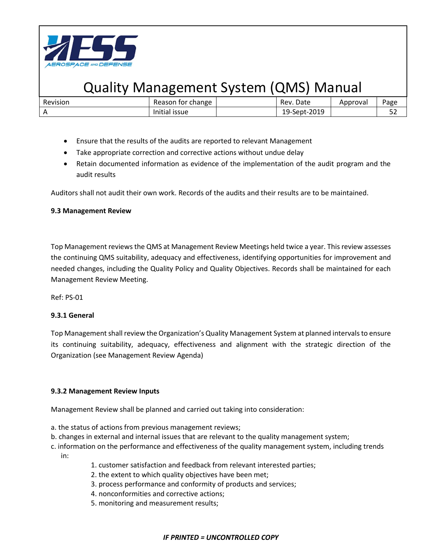

| Revision | Reason for change | Rev. Date    | Approval | Page          |
|----------|-------------------|--------------|----------|---------------|
|          | Initial issue     | 19-Sept-2019 |          | $ \sim$<br>ےر |

- Ensure that the results of the audits are reported to relevant Management
- Take appropriate correction and corrective actions without undue delay
- Retain documented information as evidence of the implementation of the audit program and the audit results

Auditors shall not audit their own work. Records of the audits and their results are to be maintained.

#### **9.3 Management Review**

Top Management reviews the QMS at Management Review Meetings held twice a year. This review assesses the continuing QMS suitability, adequacy and effectiveness, identifying opportunities for improvement and needed changes, including the Quality Policy and Quality Objectives. Records shall be maintained for each Management Review Meeting.

Ref: PS-01

### **9.3.1 General**

Top Management shall review the Organization's Quality Management System at planned intervals to ensure its continuing suitability, adequacy, effectiveness and alignment with the strategic direction of the Organization (see Management Review Agenda)

### **9.3.2 Management Review Inputs**

Management Review shall be planned and carried out taking into consideration:

- a. the status of actions from previous management reviews;
- b. changes in external and internal issues that are relevant to the quality management system;
- c. information on the performance and effectiveness of the quality management system, including trends in:
	- 1. customer satisfaction and feedback from relevant interested parties;
	- 2. the extent to which quality objectives have been met;
	- 3. process performance and conformity of products and services;
	- 4. nonconformities and corrective actions;
	- 5. monitoring and measurement results;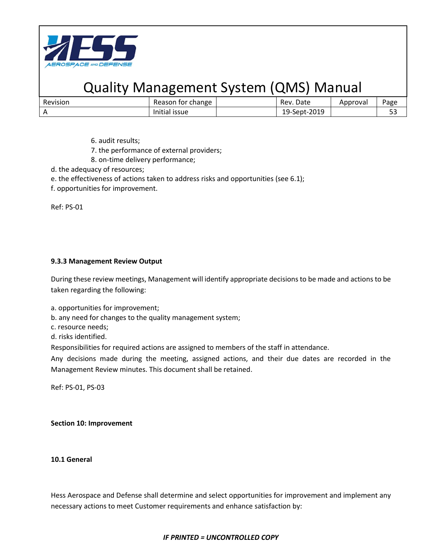

| Revision | Reason for change | . Date<br>Rev. | Approval | Page       |
|----------|-------------------|----------------|----------|------------|
|          | Initial issue     | 19-Sept-2019   |          | r 1<br>ں ب |

- 6. audit results;
- 7. the performance of external providers;
- 8. on-time delivery performance;
- d. the adequacy of resources;
- e. the effectiveness of actions taken to address risks and opportunities (see 6.1);
- f. opportunities for improvement.

Ref: PS-01

### **9.3.3 Management Review Output**

During these review meetings, Management will identify appropriate decisions to be made and actions to be taken regarding the following:

- a. opportunities for improvement;
- b. any need for changes to the quality management system;
- c. resource needs;
- d. risks identified.

Responsibilities for required actions are assigned to members of the staff in attendance.

Any decisions made during the meeting, assigned actions, and their due dates are recorded in the Management Review minutes. This document shall be retained.

Ref: PS-01, PS-03

#### **Section 10: Improvement**

**10.1 General**

Hess Aerospace and Defense shall determine and select opportunities for improvement and implement any necessary actions to meet Customer requirements and enhance satisfaction by: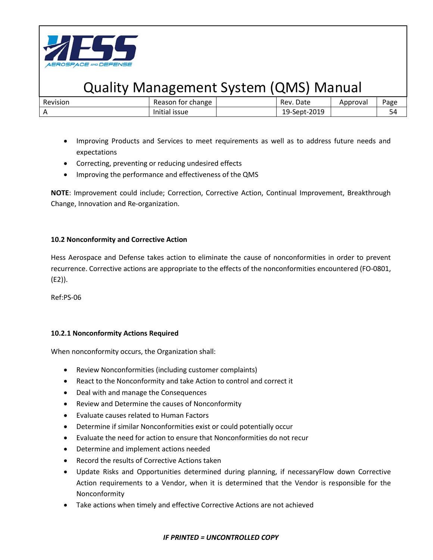

| Revision | Reason for change | Rev. Date    | Approval | Page |
|----------|-------------------|--------------|----------|------|
|          | Initial issue     | 19-Sept-2019 |          | 54   |

- Improving Products and Services to meet requirements as well as to address future needs and expectations
- Correcting, preventing or reducing undesired effects
- Improving the performance and effectiveness of the QMS

**NOTE**: Improvement could include; Correction, Corrective Action, Continual Improvement, Breakthrough Change, Innovation and Re-organization.

### **10.2 Nonconformity and Corrective Action**

Hess Aerospace and Defense takes action to eliminate the cause of nonconformities in order to prevent recurrence. Corrective actions are appropriate to the effects of the nonconformities encountered (FO-0801, (E2)).

Ref:PS-06

### **10.2.1 Nonconformity Actions Required**

When nonconformity occurs, the Organization shall:

- Review Nonconformities (including customer complaints)
- React to the Nonconformity and take Action to control and correct it
- Deal with and manage the Consequences
- Review and Determine the causes of Nonconformity
- Evaluate causes related to Human Factors
- Determine if similar Nonconformities exist or could potentially occur
- Evaluate the need for action to ensure that Nonconformities do not recur
- Determine and implement actions needed
- Record the results of Corrective Actions taken
- Update Risks and Opportunities determined during planning, if necessaryFlow down Corrective Action requirements to a Vendor, when it is determined that the Vendor is responsible for the Nonconformity
- Take actions when timely and effective Corrective Actions are not achieved